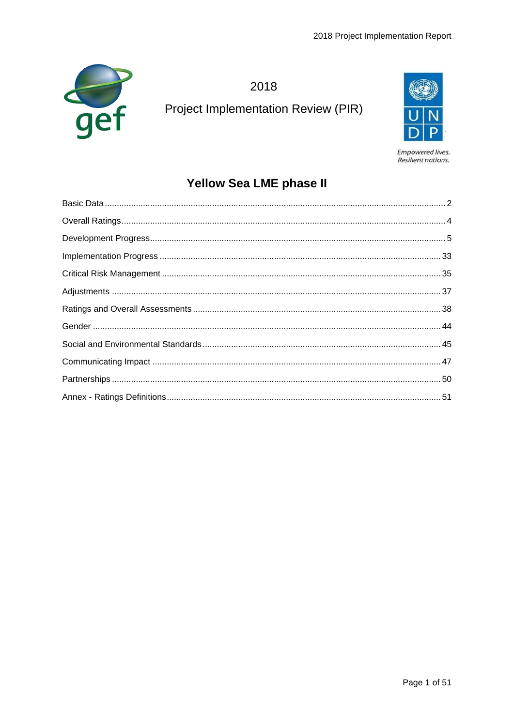

2018 **Project Implementation Review (PIR)** 



Empowered lives. Resilient nations.

# **Yellow Sea LME phase II**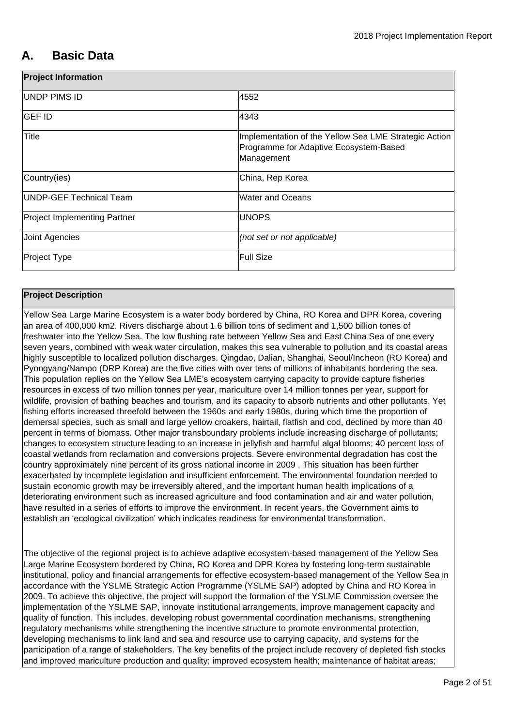# <span id="page-1-0"></span>**A. Basic Data**

| <b>Project Information</b>          |                                                                                                               |
|-------------------------------------|---------------------------------------------------------------------------------------------------------------|
| UNDP PIMS ID                        | 4552                                                                                                          |
| <b>GEF ID</b>                       | 4343                                                                                                          |
| Title                               | Implementation of the Yellow Sea LME Strategic Action<br>Programme for Adaptive Ecosystem-Based<br>Management |
| Country(ies)                        | China, Rep Korea                                                                                              |
| UNDP-GEF Technical Team             | <b>Water and Oceans</b>                                                                                       |
| <b>Project Implementing Partner</b> | <b>UNOPS</b>                                                                                                  |
| Joint Agencies                      | (not set or not applicable)                                                                                   |
| Project Type                        | <b>Full Size</b>                                                                                              |

## **Project Description**

Yellow Sea Large Marine Ecosystem is a water body bordered by China, RO Korea and DPR Korea, covering an area of 400,000 km2. Rivers discharge about 1.6 billion tons of sediment and 1,500 billion tones of freshwater into the Yellow Sea. The low flushing rate between Yellow Sea and East China Sea of one every seven years, combined with weak water circulation, makes this sea vulnerable to pollution and its coastal areas highly susceptible to localized pollution discharges. Qingdao, Dalian, Shanghai, Seoul/Incheon (RO Korea) and Pyongyang/Nampo (DRP Korea) are the five cities with over tens of millions of inhabitants bordering the sea. This population replies on the Yellow Sea LME's ecosystem carrying capacity to provide capture fisheries resources in excess of two million tonnes per year, mariculture over 14 million tonnes per year, support for wildlife, provision of bathing beaches and tourism, and its capacity to absorb nutrients and other pollutants. Yet fishing efforts increased threefold between the 1960s and early 1980s, during which time the proportion of demersal species, such as small and large yellow croakers, hairtail, flatfish and cod, declined by more than 40 percent in terms of biomass. Other major transboundary problems include increasing discharge of pollutants; changes to ecosystem structure leading to an increase in jellyfish and harmful algal blooms; 40 percent loss of coastal wetlands from reclamation and conversions projects. Severe environmental degradation has cost the country approximately nine percent of its gross national income in 2009 . This situation has been further exacerbated by incomplete legislation and insufficient enforcement. The environmental foundation needed to sustain economic growth may be irreversibly altered, and the important human health implications of a deteriorating environment such as increased agriculture and food contamination and air and water pollution, have resulted in a series of efforts to improve the environment. In recent years, the Government aims to establish an 'ecological civilization' which indicates readiness for environmental transformation.

The objective of the regional project is to achieve adaptive ecosystem-based management of the Yellow Sea Large Marine Ecosystem bordered by China, RO Korea and DPR Korea by fostering long-term sustainable institutional, policy and financial arrangements for effective ecosystem-based management of the Yellow Sea in accordance with the YSLME Strategic Action Programme (YSLME SAP) adopted by China and RO Korea in 2009. To achieve this objective, the project will support the formation of the YSLME Commission oversee the implementation of the YSLME SAP, innovate institutional arrangements, improve management capacity and quality of function. This includes, developing robust governmental coordination mechanisms, strengthening regulatory mechanisms while strengthening the incentive structure to promote environmental protection, developing mechanisms to link land and sea and resource use to carrying capacity, and systems for the participation of a range of stakeholders. The key benefits of the project include recovery of depleted fish stocks and improved mariculture production and quality; improved ecosystem health; maintenance of habitat areas;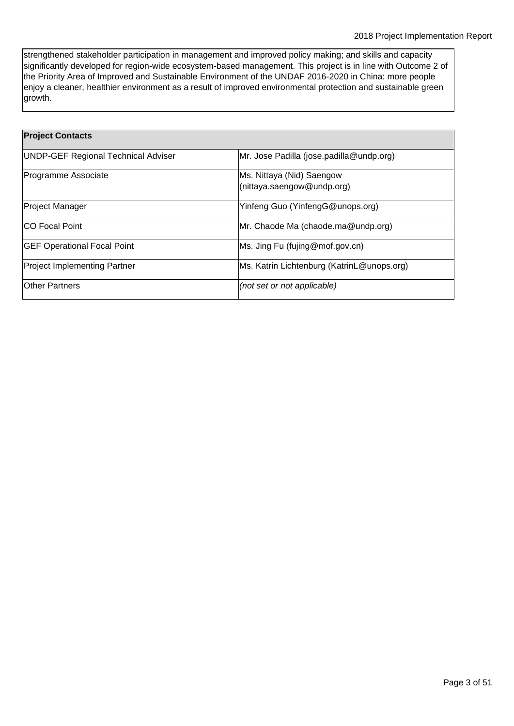strengthened stakeholder participation in management and improved policy making; and skills and capacity significantly developed for region-wide ecosystem-based management. This project is in line with Outcome 2 of the Priority Area of Improved and Sustainable Environment of the UNDAF 2016-2020 in China: more people enjoy a cleaner, healthier environment as a result of improved environmental protection and sustainable green growth.

| <b>Project Contacts</b>                    |                                                         |
|--------------------------------------------|---------------------------------------------------------|
| <b>UNDP-GEF Regional Technical Adviser</b> | Mr. Jose Padilla (jose.padilla@undp.org)                |
| Programme Associate                        | Ms. Nittaya (Nid) Saengow<br>(nittaya.saengow@undp.org) |
| <b>Project Manager</b>                     | Yinfeng Guo (YinfengG@unops.org)                        |
| <b>CO Focal Point</b>                      | Mr. Chaode Ma (chaode.ma@undp.org)                      |
| <b>GEF Operational Focal Point</b>         | Ms. Jing Fu (fujing@mof.gov.cn)                         |
| <b>Project Implementing Partner</b>        | Ms. Katrin Lichtenburg (KatrinL@unops.org)              |
| <b>Other Partners</b>                      | (not set or not applicable)                             |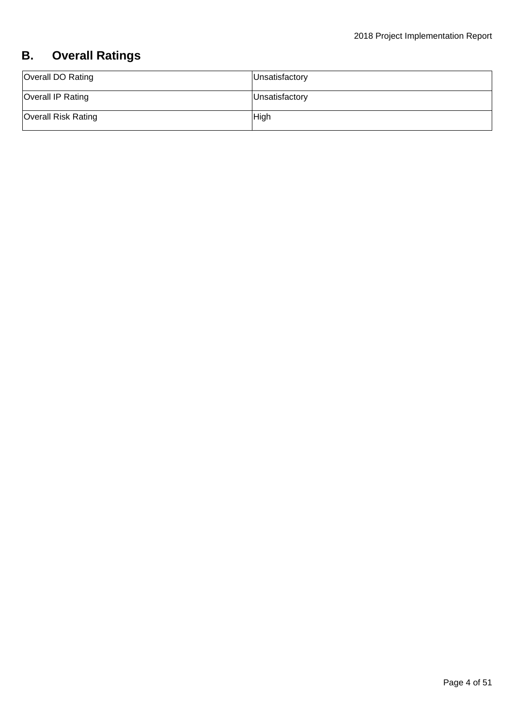# <span id="page-3-0"></span>**B. Overall Ratings**

| Overall DO Rating          | Unsatisfactory |
|----------------------------|----------------|
| Overall IP Rating          | Unsatisfactory |
| <b>Overall Risk Rating</b> | High           |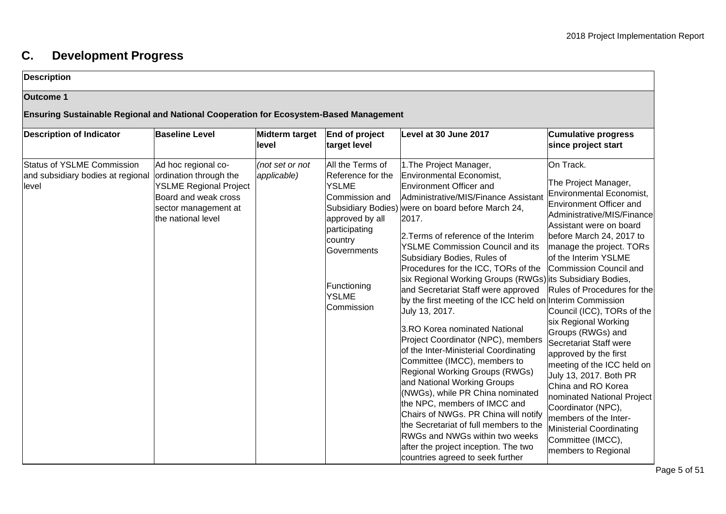# **C. Development Progress**

## **Description**

## **Outcome 1**

## **Ensuring Sustainable Regional and National Cooperation for Ecosystem-Based Management**

<span id="page-4-0"></span>

| <b>Description of Indicator</b>                                          | <b>Baseline Level</b>                                                                                                                                | Midterm target<br>level        | End of project<br>target level                                                                                                                                              | Level at 30 June 2017                                                                                                                                                                                                                                                                                                                                                                                                                                                                                                                                                                                                                                                                                                                                                                                                                                                                                                                                                                                                                | <b>Cumulative progress</b><br>since project start                                                                                                                                                                                                                                                                                                                                                                                                                                                                                                                                                                                                           |
|--------------------------------------------------------------------------|------------------------------------------------------------------------------------------------------------------------------------------------------|--------------------------------|-----------------------------------------------------------------------------------------------------------------------------------------------------------------------------|--------------------------------------------------------------------------------------------------------------------------------------------------------------------------------------------------------------------------------------------------------------------------------------------------------------------------------------------------------------------------------------------------------------------------------------------------------------------------------------------------------------------------------------------------------------------------------------------------------------------------------------------------------------------------------------------------------------------------------------------------------------------------------------------------------------------------------------------------------------------------------------------------------------------------------------------------------------------------------------------------------------------------------------|-------------------------------------------------------------------------------------------------------------------------------------------------------------------------------------------------------------------------------------------------------------------------------------------------------------------------------------------------------------------------------------------------------------------------------------------------------------------------------------------------------------------------------------------------------------------------------------------------------------------------------------------------------------|
| Status of YSLME Commission<br>and subsidiary bodies at regional<br>level | Ad hoc regional co-<br>ordination through the<br><b>YSLME Regional Project</b><br>Board and weak cross<br>sector management at<br>the national level | (not set or not<br>applicable) | All the Terms of<br>Reference for the<br>YSLME<br>Commission and<br>approved by all<br>participating<br>country<br>Governments<br>Functioning<br><b>YSLME</b><br>Commission | 1. The Project Manager,<br>Environmental Economist,<br><b>Environment Officer and</b><br>Administrative/MIS/Finance Assistant<br>Subsidiary Bodies) were on board before March 24,<br>2017.<br>2. Terms of reference of the Interim<br><b>YSLME Commission Council and its</b><br>Subsidiary Bodies, Rules of<br>Procedures for the ICC, TORs of the<br>six Regional Working Groups (RWGs) its Subsidiary Bodies,<br>and Secretariat Staff were approved<br>by the first meeting of the ICC held on Interim Commission<br>July 13, 2017.<br>3.RO Korea nominated National<br>Project Coordinator (NPC), members<br>of the Inter-Ministerial Coordinating<br>Committee (IMCC), members to<br><b>Regional Working Groups (RWGs)</b><br>and National Working Groups<br>(NWGs), while PR China nominated<br>the NPC, members of IMCC and<br>Chairs of NWGs. PR China will notify<br>the Secretariat of full members to the<br>RWGs and NWGs within two weeks<br>after the project inception. The two<br>countries agreed to seek further | On Track.<br>The Project Manager,<br>Environmental Economist,<br>Environment Officer and<br>Administrative/MIS/Finance<br>Assistant were on board<br>before March 24, 2017 to<br>manage the project. TORs<br>of the Interim YSLME<br>Commission Council and<br>Rules of Procedures for the<br>Council (ICC), TORs of the<br>six Regional Working<br>Groups (RWGs) and<br>Secretariat Staff were<br>approved by the first<br>meeting of the ICC held on<br>July 13, 2017. Both PR<br>China and RO Korea<br>nominated National Project<br>Coordinator (NPC),<br>members of the Inter-<br>Ministerial Coordinating<br>Committee (IMCC),<br>members to Regional |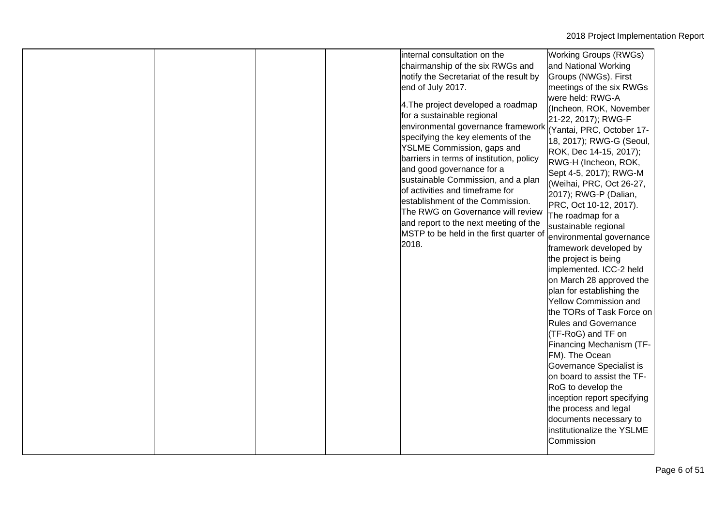|  |  |  |  | internal consultation on the<br>chairmanship of the six RWGs and<br>notify the Secretariat of the result by<br>end of July 2017.<br>4. The project developed a roadmap<br>for a sustainable regional<br>environmental governance framework<br>specifying the key elements of the<br>YSLME Commission, gaps and<br>barriers in terms of institution, policy<br>and good governance for a<br>sustainable Commission, and a plan<br>of activities and timeframe for<br>establishment of the Commission.<br>The RWG on Governance will review<br>and report to the next meeting of the<br>MSTP to be held in the first quarter of<br>2018. | <b>Working Groups (RWGs)</b><br>and National Working<br>Groups (NWGs). First<br>meetings of the six RWGs<br>were held: RWG-A<br>(Incheon, ROK, November<br>21-22, 2017); RWG-F<br>(Yantai, PRC, October 17-<br>18, 2017); RWG-G (Seoul,<br>ROK, Dec 14-15, 2017);<br>RWG-H (Incheon, ROK,<br>Sept 4-5, 2017); RWG-M<br>(Weihai, PRC, Oct 26-27,<br>2017); RWG-P (Dalian,<br>PRC, Oct 10-12, 2017).<br>The roadmap for a<br>sustainable regional<br>environmental governance<br>framework developed by<br>the project is being<br>implemented. ICC-2 held<br>on March 28 approved the<br>plan for establishing the<br><b>Yellow Commission and</b><br>the TORs of Task Force on<br><b>Rules and Governance</b><br>(TF-RoG) and TF on<br>Financing Mechanism (TF-<br>FM). The Ocean<br>Governance Specialist is<br>on board to assist the TF-<br>RoG to develop the<br>inception report specifying<br>the process and legal<br>documents necessary to<br>institutionalize the YSLME<br>Commission |
|--|--|--|--|----------------------------------------------------------------------------------------------------------------------------------------------------------------------------------------------------------------------------------------------------------------------------------------------------------------------------------------------------------------------------------------------------------------------------------------------------------------------------------------------------------------------------------------------------------------------------------------------------------------------------------------|-------------------------------------------------------------------------------------------------------------------------------------------------------------------------------------------------------------------------------------------------------------------------------------------------------------------------------------------------------------------------------------------------------------------------------------------------------------------------------------------------------------------------------------------------------------------------------------------------------------------------------------------------------------------------------------------------------------------------------------------------------------------------------------------------------------------------------------------------------------------------------------------------------------------------------------------------------------------------------------------------|
|--|--|--|--|----------------------------------------------------------------------------------------------------------------------------------------------------------------------------------------------------------------------------------------------------------------------------------------------------------------------------------------------------------------------------------------------------------------------------------------------------------------------------------------------------------------------------------------------------------------------------------------------------------------------------------------|-------------------------------------------------------------------------------------------------------------------------------------------------------------------------------------------------------------------------------------------------------------------------------------------------------------------------------------------------------------------------------------------------------------------------------------------------------------------------------------------------------------------------------------------------------------------------------------------------------------------------------------------------------------------------------------------------------------------------------------------------------------------------------------------------------------------------------------------------------------------------------------------------------------------------------------------------------------------------------------------------|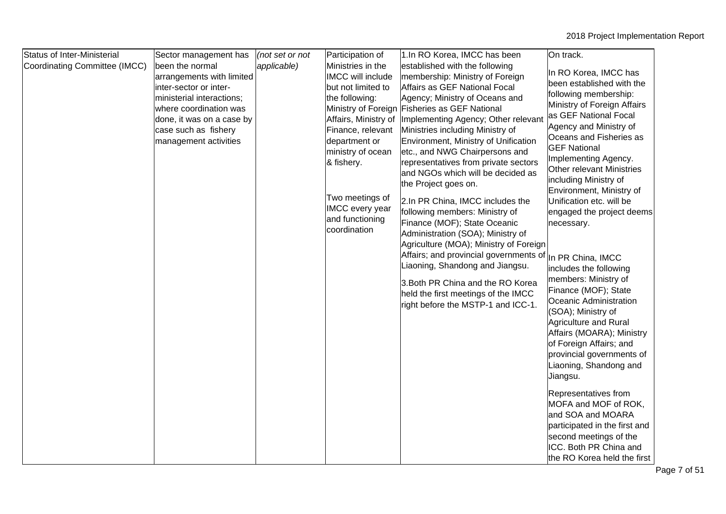| <b>Status of Inter-Ministerial</b> | Sector management has                                                                                                                                                                                       | (not set or not | Participation of                                                                                                                                                                                                                                                       | 1.In RO Korea, IMCC has been                                                                                                                                                                                                                                                                                                                                                                                                                                                                                                                                                                                                                                                                                                                                                                                                        | On track.                                                                                                                                                                                                                                                                                                                                                                                                                                                                                                                                                                                                                                                                                                                                                                                                                                  |
|------------------------------------|-------------------------------------------------------------------------------------------------------------------------------------------------------------------------------------------------------------|-----------------|------------------------------------------------------------------------------------------------------------------------------------------------------------------------------------------------------------------------------------------------------------------------|-------------------------------------------------------------------------------------------------------------------------------------------------------------------------------------------------------------------------------------------------------------------------------------------------------------------------------------------------------------------------------------------------------------------------------------------------------------------------------------------------------------------------------------------------------------------------------------------------------------------------------------------------------------------------------------------------------------------------------------------------------------------------------------------------------------------------------------|--------------------------------------------------------------------------------------------------------------------------------------------------------------------------------------------------------------------------------------------------------------------------------------------------------------------------------------------------------------------------------------------------------------------------------------------------------------------------------------------------------------------------------------------------------------------------------------------------------------------------------------------------------------------------------------------------------------------------------------------------------------------------------------------------------------------------------------------|
| Coordinating Committee (IMCC)      | been the normal<br>arrangements with limited<br>inter-sector or inter-<br>ministerial interactions;<br>where coordination was<br>done, it was on a case by<br>case such as fishery<br>management activities | applicable)     | Ministries in the<br><b>IMCC will include</b><br>but not limited to<br>the following:<br>Affairs, Ministry of<br>Finance, relevant<br>department or<br>ministry of ocean<br>& fishery.<br>Two meetings of<br><b>IMCC</b> every year<br>and functioning<br>coordination | established with the following<br>membership: Ministry of Foreign<br>Affairs as GEF National Focal<br>Agency; Ministry of Oceans and<br>Ministry of Foreign Fisheries as GEF National<br>Implementing Agency; Other relevant<br>Ministries including Ministry of<br>Environment, Ministry of Unification<br>etc., and NWG Chairpersons and<br>representatives from private sectors<br>and NGOs which will be decided as<br>the Project goes on.<br>2.In PR China, IMCC includes the<br>following members: Ministry of<br>Finance (MOF); State Oceanic<br>Administration (SOA); Ministry of<br>Agriculture (MOA); Ministry of Foreign<br>Affairs; and provincial governments of<br>Liaoning, Shandong and Jiangsu.<br>3. Both PR China and the RO Korea<br>held the first meetings of the IMCC<br>right before the MSTP-1 and ICC-1. | In RO Korea, IMCC has<br>been established with the<br>following membership:<br>Ministry of Foreign Affairs<br>as GEF National Focal<br>Agency and Ministry of<br>Oceans and Fisheries as<br><b>GEF National</b><br>Implementing Agency.<br><b>Other relevant Ministries</b><br>including Ministry of<br>Environment, Ministry of<br>Unification etc. will be<br>engaged the project deems<br>necessary.<br>In PR China, IMCC<br>includes the following<br>members: Ministry of<br>Finance (MOF); State<br>Oceanic Administration<br>(SOA); Ministry of<br>Agriculture and Rural<br>Affairs (MOARA); Ministry<br>of Foreign Affairs; and<br>provincial governments of<br>Liaoning, Shandong and<br>Jiangsu.<br>Representatives from<br>MOFA and MOF of ROK,<br>and SOA and MOARA<br>participated in the first and<br>second meetings of the |
|                                    |                                                                                                                                                                                                             |                 |                                                                                                                                                                                                                                                                        |                                                                                                                                                                                                                                                                                                                                                                                                                                                                                                                                                                                                                                                                                                                                                                                                                                     | ICC. Both PR China and<br>the RO Korea held the first                                                                                                                                                                                                                                                                                                                                                                                                                                                                                                                                                                                                                                                                                                                                                                                      |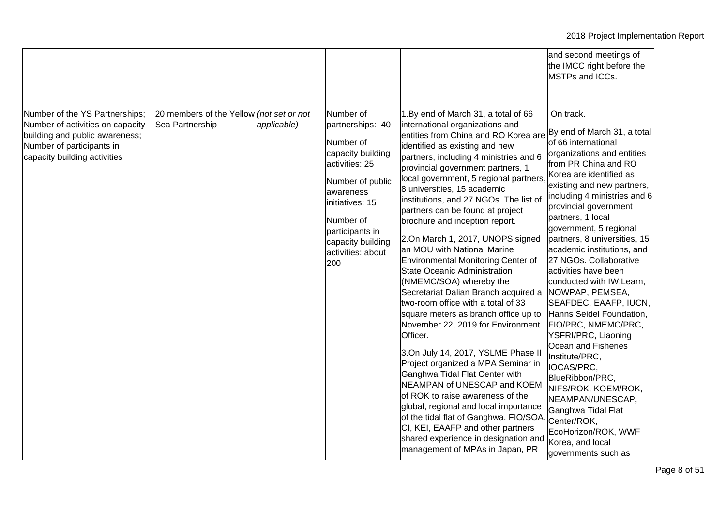|                                                                                                                                                                   |                                                             |             |                                                                                                                                                                                                                        |                                                                                                                                                                                                                                                                                                                                                                                                                                                                                                                                                                                                                                                                                                                                                                                                                                                                                                                                                                                                                                                                                                                                                              | and second meetings of<br>the IMCC right before the<br>MSTPs and ICCs.                                                                                                                                                                                                                                                                                                                                                                                                                                                                                                                                                                                                                                                                                                               |
|-------------------------------------------------------------------------------------------------------------------------------------------------------------------|-------------------------------------------------------------|-------------|------------------------------------------------------------------------------------------------------------------------------------------------------------------------------------------------------------------------|--------------------------------------------------------------------------------------------------------------------------------------------------------------------------------------------------------------------------------------------------------------------------------------------------------------------------------------------------------------------------------------------------------------------------------------------------------------------------------------------------------------------------------------------------------------------------------------------------------------------------------------------------------------------------------------------------------------------------------------------------------------------------------------------------------------------------------------------------------------------------------------------------------------------------------------------------------------------------------------------------------------------------------------------------------------------------------------------------------------------------------------------------------------|--------------------------------------------------------------------------------------------------------------------------------------------------------------------------------------------------------------------------------------------------------------------------------------------------------------------------------------------------------------------------------------------------------------------------------------------------------------------------------------------------------------------------------------------------------------------------------------------------------------------------------------------------------------------------------------------------------------------------------------------------------------------------------------|
| Number of the YS Partnerships;<br>Number of activities on capacity<br>building and public awareness;<br>Number of participants in<br>capacity building activities | 20 members of the Yellow (not set or not<br>Sea Partnership | applicable) | Number of<br>partnerships: 40<br>Number of<br>capacity building<br>activities: 25<br>Number of public<br>awareness<br>initiatives: 15<br>Number of<br>participants in<br>capacity building<br>activities: about<br>200 | 1.By end of March 31, a total of 66<br>international organizations and<br>entities from China and RO Korea are<br>identified as existing and new<br>partners, including 4 ministries and 6<br>provincial government partners, 1<br>local government, 5 regional partners<br>8 universities, 15 academic<br>institutions, and 27 NGOs. The list of<br>partners can be found at project<br>brochure and inception report.<br>2.On March 1, 2017, UNOPS signed<br>an MOU with National Marine<br>Environmental Monitoring Center of<br><b>State Oceanic Administration</b><br>(NMEMC/SOA) whereby the<br>Secretariat Dalian Branch acquired a<br>two-room office with a total of 33<br>square meters as branch office up to<br>November 22, 2019 for Environment<br>Officer.<br>3.On July 14, 2017, YSLME Phase II<br>Project organized a MPA Seminar in<br>Ganghwa Tidal Flat Center with<br>NEAMPAN of UNESCAP and KOEM<br>of ROK to raise awareness of the<br>global, regional and local importance<br>of the tidal flat of Ganghwa. FIO/SOA<br>CI, KEI, EAAFP and other partners<br>shared experience in designation and<br>management of MPAs in Japan, PR | On track.<br>By end of March 31, a total<br>of 66 international<br>organizations and entities<br>from PR China and RO<br>Korea are identified as<br>existing and new partners,<br>including 4 ministries and 6<br>provincial government<br>partners, 1 local<br>government, 5 regional<br>partners, 8 universities, 15<br>academic institutions, and<br>27 NGOs. Collaborative<br>activities have been<br>conducted with IW:Learn,<br>NOWPAP, PEMSEA,<br>SEAFDEC, EAAFP, IUCN,<br>Hanns Seidel Foundation,<br>FIO/PRC, NMEMC/PRC,<br>YSFRI/PRC, Liaoning<br>Ocean and Fisheries<br>Institute/PRC,<br>IOCAS/PRC,<br>BlueRibbon/PRC,<br>NIFS/ROK, KOEM/ROK,<br>NEAMPAN/UNESCAP,<br>Ganghwa Tidal Flat<br>Center/ROK,<br>EcoHorizon/ROK, WWF<br>Korea, and local<br>governments such as |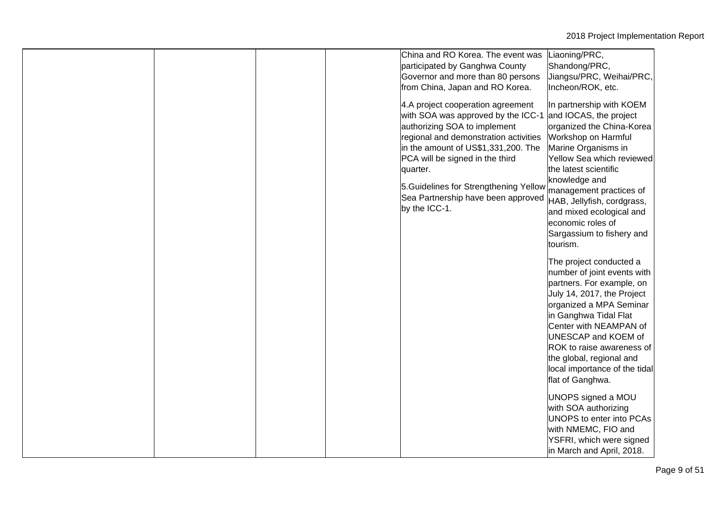|  |  | China and RO Korea. The event was<br>participated by Ganghwa County<br>Governor and more than 80 persons<br>from China, Japan and RO Korea.<br>4.A project cooperation agreement<br>with SOA was approved by the ICC-1<br>authorizing SOA to implement<br>regional and demonstration activities<br>in the amount of US\$1,331,200. The<br>PCA will be signed in the third<br>quarter.<br>5. Guidelines for Strengthening Yellow<br>Sea Partnership have been approved<br>by the ICC-1. | Liaoning/PRC,<br>Shandong/PRC,<br>Jiangsu/PRC, Weihai/PRC,<br>Incheon/ROK, etc.<br>In partnership with KOEM<br>and IOCAS, the project<br>organized the China-Korea<br>Workshop on Harmful<br>Marine Organisms in<br>Yellow Sea which reviewed<br>the latest scientific<br>knowledge and<br>management practices of<br>HAB, Jellyfish, cordgrass,<br>and mixed ecological and<br>economic roles of<br>Sargassium to fishery and<br>tourism.                                                     |
|--|--|----------------------------------------------------------------------------------------------------------------------------------------------------------------------------------------------------------------------------------------------------------------------------------------------------------------------------------------------------------------------------------------------------------------------------------------------------------------------------------------|------------------------------------------------------------------------------------------------------------------------------------------------------------------------------------------------------------------------------------------------------------------------------------------------------------------------------------------------------------------------------------------------------------------------------------------------------------------------------------------------|
|  |  |                                                                                                                                                                                                                                                                                                                                                                                                                                                                                        | The project conducted a<br>number of joint events with<br>partners. For example, on<br>July 14, 2017, the Project<br>organized a MPA Seminar<br>in Ganghwa Tidal Flat<br>Center with NEAMPAN of<br>UNESCAP and KOEM of<br>ROK to raise awareness of<br>the global, regional and<br>local importance of the tidal<br>flat of Ganghwa.<br>UNOPS signed a MOU<br>with SOA authorizing<br>UNOPS to enter into PCAs<br>with NMEMC, FIO and<br>YSFRI, which were signed<br>in March and April, 2018. |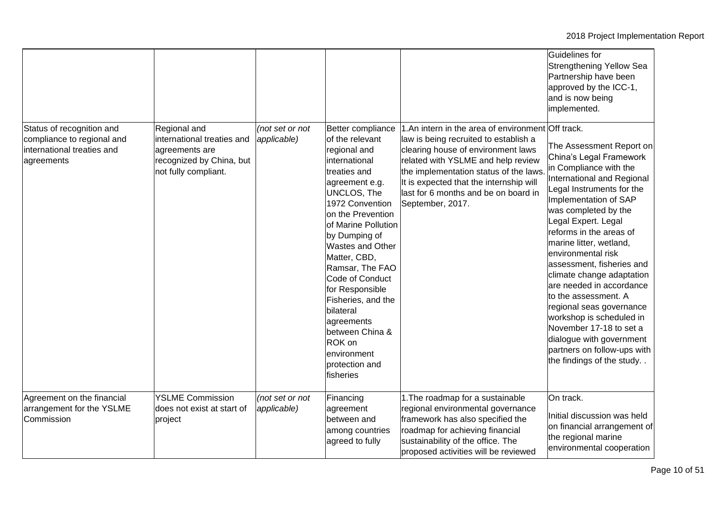|                                                                                                     |                                                                                                                  |                                |                                                                                                                                                                                                                                                                                                                                                                                                                                               |                                                                                                                                                                                                                                                                                                                        | Guidelines for<br>Strengthening Yellow Sea<br>Partnership have been<br>approved by the ICC-1,<br>and is now being<br>implemented.                                                                                                                                                                                                                                                                                                                                                                                                                                                     |
|-----------------------------------------------------------------------------------------------------|------------------------------------------------------------------------------------------------------------------|--------------------------------|-----------------------------------------------------------------------------------------------------------------------------------------------------------------------------------------------------------------------------------------------------------------------------------------------------------------------------------------------------------------------------------------------------------------------------------------------|------------------------------------------------------------------------------------------------------------------------------------------------------------------------------------------------------------------------------------------------------------------------------------------------------------------------|---------------------------------------------------------------------------------------------------------------------------------------------------------------------------------------------------------------------------------------------------------------------------------------------------------------------------------------------------------------------------------------------------------------------------------------------------------------------------------------------------------------------------------------------------------------------------------------|
| Status of recognition and<br>compliance to regional and<br>international treaties and<br>agreements | Regional and<br>international treaties and<br>agreements are<br>recognized by China, but<br>not fully compliant. | (not set or not<br>applicable) | Better compliance<br>of the relevant<br>regional and<br>international<br>treaties and<br>agreement e.g.<br><b>UNCLOS, The</b><br>1972 Convention<br>on the Prevention<br>of Marine Pollution<br>by Dumping of<br><b>Wastes and Other</b><br>Matter, CBD,<br>Ramsar, The FAO<br>Code of Conduct<br>for Responsible<br>Fisheries, and the<br>bilateral<br>agreements<br>between China &<br>ROK on<br>environment<br>protection and<br>fisheries | 1.An intern in the area of environment Off track.<br>law is being recruited to establish a<br>clearing house of environment laws<br>related with YSLME and help review<br>the implementation status of the laws<br>It is expected that the internship will<br>last for 6 months and be on board in<br>September, 2017. | The Assessment Report on<br>China's Legal Framework<br>in Compliance with the<br>International and Regional<br>Legal Instruments for the<br>Implementation of SAP<br>was completed by the<br>Legal Expert. Legal<br>reforms in the areas of<br>marine litter, wetland,<br>environmental risk<br>assessment, fisheries and<br>climate change adaptation<br>are needed in accordance<br>to the assessment. A<br>regional seas governance<br>workshop is scheduled in<br>November 17-18 to set a<br>dialogue with government<br>partners on follow-ups with<br>the findings of the study |
| Agreement on the financial<br>arrangement for the YSLME<br>Commission                               | <b>YSLME Commission</b><br>does not exist at start of<br>project                                                 | (not set or not<br>applicable) | Financing<br>agreement<br>between and<br>among countries<br>agreed to fully                                                                                                                                                                                                                                                                                                                                                                   | 1. The roadmap for a sustainable<br>regional environmental governance<br>framework has also specified the<br>roadmap for achieving financial<br>sustainability of the office. The<br>proposed activities will be reviewed                                                                                              | On track.<br>Initial discussion was held<br>on financial arrangement of<br>the regional marine<br>environmental cooperation                                                                                                                                                                                                                                                                                                                                                                                                                                                           |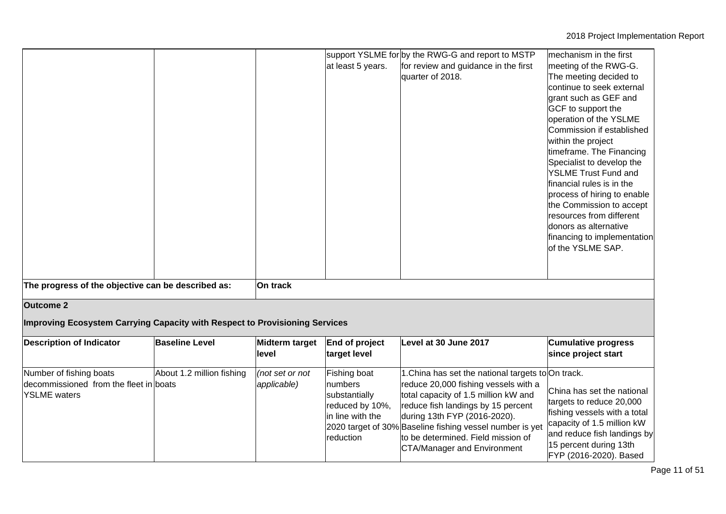|                                                                                          |                           |                                | at least 5 years.                                                                            | support YSLME for by the RWG-G and report to MSTP<br>for review and guidance in the first<br>quarter of 2018.                                                                                                                                                                                                                                    | mechanism in the first<br>meeting of the RWG-G.<br>The meeting decided to<br>continue to seek external<br>grant such as GEF and<br>GCF to support the<br>operation of the YSLME<br>Commission if established<br>within the project<br>timeframe. The Financing<br>Specialist to develop the<br><b>YSLME Trust Fund and</b><br>financial rules is in the<br>process of hiring to enable<br>the Commission to accept<br>resources from different<br>donors as alternative<br>financing to implementation<br>of the YSLME SAP. |
|------------------------------------------------------------------------------------------|---------------------------|--------------------------------|----------------------------------------------------------------------------------------------|--------------------------------------------------------------------------------------------------------------------------------------------------------------------------------------------------------------------------------------------------------------------------------------------------------------------------------------------------|-----------------------------------------------------------------------------------------------------------------------------------------------------------------------------------------------------------------------------------------------------------------------------------------------------------------------------------------------------------------------------------------------------------------------------------------------------------------------------------------------------------------------------|
| The progress of the objective can be described as:                                       |                           | On track                       |                                                                                              |                                                                                                                                                                                                                                                                                                                                                  |                                                                                                                                                                                                                                                                                                                                                                                                                                                                                                                             |
| <b>Outcome 2</b>                                                                         |                           |                                |                                                                                              |                                                                                                                                                                                                                                                                                                                                                  |                                                                                                                                                                                                                                                                                                                                                                                                                                                                                                                             |
| Improving Ecosystem Carrying Capacity with Respect to Provisioning Services              |                           |                                |                                                                                              |                                                                                                                                                                                                                                                                                                                                                  |                                                                                                                                                                                                                                                                                                                                                                                                                                                                                                                             |
| <b>Description of Indicator</b>                                                          | <b>Baseline Level</b>     | Midterm target<br>level        | End of project<br>target level                                                               | Level at 30 June 2017                                                                                                                                                                                                                                                                                                                            | <b>Cumulative progress</b><br>since project start                                                                                                                                                                                                                                                                                                                                                                                                                                                                           |
| Number of fishing boats<br>decommissioned from the fleet in boats<br><b>YSLME</b> waters | About 1.2 million fishing | (not set or not<br>applicable) | Fishing boat<br>numbers<br>substantially<br>reduced by 10%,<br>in line with the<br>reduction | 1. China has set the national targets to On track.<br>reduce 20,000 fishing vessels with a<br>total capacity of 1.5 million kW and<br>reduce fish landings by 15 percent<br>during 13th FYP (2016-2020).<br>2020 target of 30% Baseline fishing vessel number is yet<br>to be determined. Field mission of<br><b>CTA/Manager and Environment</b> | China has set the national<br>targets to reduce 20,000<br>fishing vessels with a total<br>capacity of 1.5 million kW<br>and reduce fish landings by<br>15 percent during 13th<br>FYP (2016-2020). Based                                                                                                                                                                                                                                                                                                                     |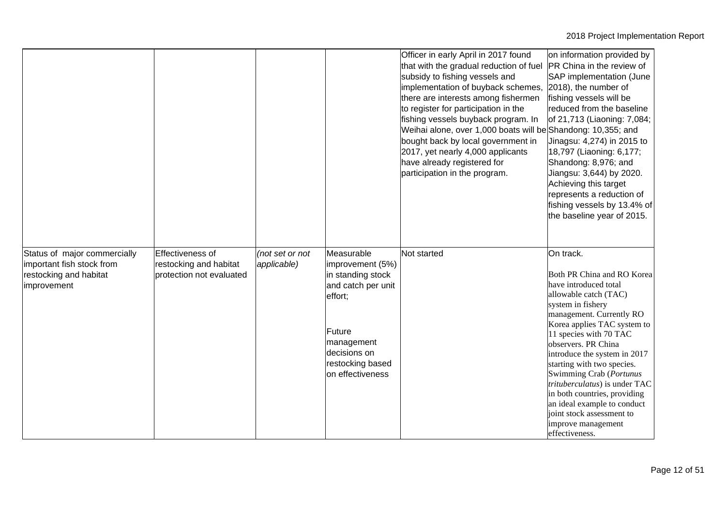|                                                                                                    |                                                                        |                                |                                                                                                                                                                      | Officer in early April in 2017 found<br>that with the gradual reduction of fuel<br>subsidy to fishing vessels and<br>implementation of buyback schemes,<br>there are interests among fishermen<br>to register for participation in the<br>fishing vessels buyback program. In<br>Weihai alone, over 1,000 boats will be Shandong: 10,355; and<br>bought back by local government in<br>2017, yet nearly 4,000 applicants<br>have already registered for<br>participation in the program. | on information provided by<br>PR China in the review of<br>SAP implementation (June<br>2018), the number of<br>fishing vessels will be<br>reduced from the baseline<br>of 21,713 (Liaoning: 7,084;<br>Jinagsu: 4,274) in 2015 to<br>18,797 (Liaoning: 6,177;<br>Shandong: 8,976; and<br>Jiangsu: 3,644) by 2020.<br>Achieving this target<br>represents a reduction of<br>fishing vessels by 13.4% of<br>the baseline year of 2015.                                                      |
|----------------------------------------------------------------------------------------------------|------------------------------------------------------------------------|--------------------------------|----------------------------------------------------------------------------------------------------------------------------------------------------------------------|------------------------------------------------------------------------------------------------------------------------------------------------------------------------------------------------------------------------------------------------------------------------------------------------------------------------------------------------------------------------------------------------------------------------------------------------------------------------------------------|------------------------------------------------------------------------------------------------------------------------------------------------------------------------------------------------------------------------------------------------------------------------------------------------------------------------------------------------------------------------------------------------------------------------------------------------------------------------------------------|
| Status of major commercially<br>important fish stock from<br>restocking and habitat<br>improvement | Effectiveness of<br>restocking and habitat<br>protection not evaluated | (not set or not<br>applicable) | Measurable<br>improvement (5%)<br>in standing stock<br>and catch per unit<br>effort;<br>Future<br>management<br>decisions on<br>restocking based<br>on effectiveness | Not started                                                                                                                                                                                                                                                                                                                                                                                                                                                                              | On track.<br>Both PR China and RO Korea<br>have introduced total<br>allowable catch (TAC)<br>system in fishery<br>management. Currently RO<br>Korea applies TAC system to<br>11 species with 70 TAC<br>observers. PR China<br>introduce the system in 2017<br>starting with two species.<br>Swimming Crab (Portunus<br>trituberculatus) is under TAC<br>in both countries, providing<br>an ideal example to conduct<br>joint stock assessment to<br>improve management<br>effectiveness. |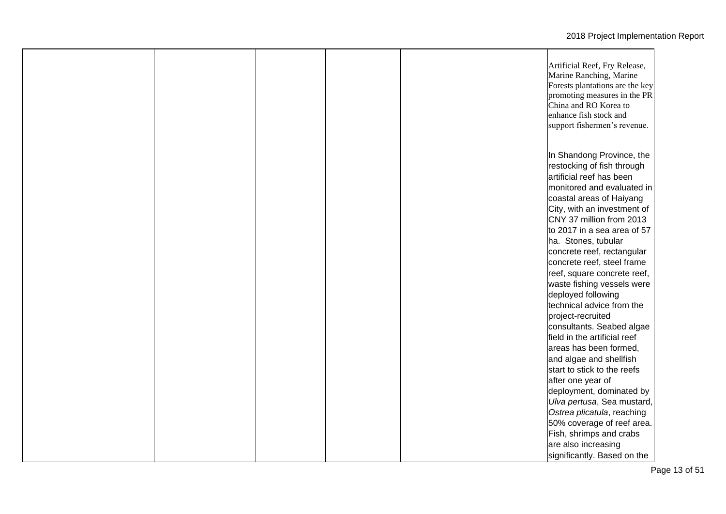|  |  | Artificial Reef, Fry Release,<br>Marine Ranching, Marine<br>Forests plantations are the key<br>promoting measures in the PR<br>China and RO Korea to<br>enhance fish stock and<br>support fishermen's revenue. |
|--|--|----------------------------------------------------------------------------------------------------------------------------------------------------------------------------------------------------------------|
|  |  | In Shandong Province, the<br>restocking of fish through<br>artificial reef has been<br>monitored and evaluated in                                                                                              |
|  |  | coastal areas of Haiyang<br>City, with an investment of<br>CNY 37 million from 2013<br>to 2017 in a sea area of 57                                                                                             |
|  |  | ha. Stones, tubular<br>concrete reef, rectangular<br>concrete reef, steel frame<br>reef, square concrete reef,                                                                                                 |
|  |  | waste fishing vessels were<br>deployed following<br>technical advice from the<br>project-recruited                                                                                                             |
|  |  | consultants. Seabed algae<br>field in the artificial reef<br>areas has been formed,<br>and algae and shellfish                                                                                                 |
|  |  | start to stick to the reefs<br>after one year of<br>deployment, dominated by                                                                                                                                   |
|  |  | Ulva pertusa, Sea mustard,<br>Ostrea plicatula, reaching<br>50% coverage of reef area.<br>Fish, shrimps and crabs<br>are also increasing                                                                       |
|  |  | significantly. Based on the                                                                                                                                                                                    |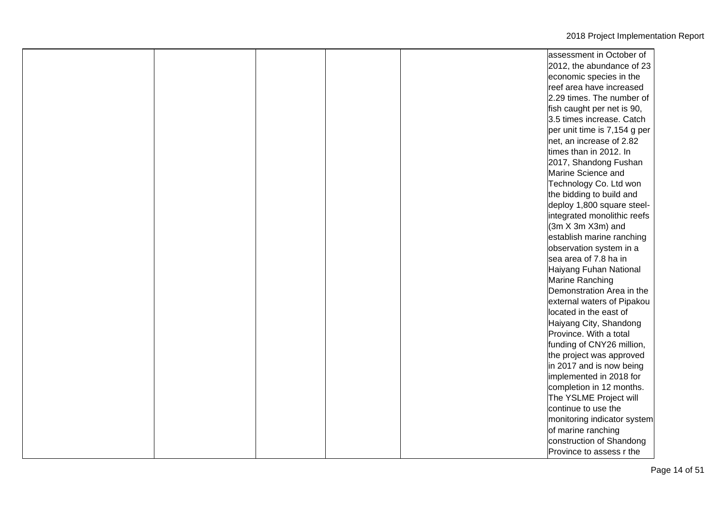|  |  | assessment in October of     |
|--|--|------------------------------|
|  |  | 2012, the abundance of 23    |
|  |  | economic species in the      |
|  |  | reef area have increased     |
|  |  | 2.29 times. The number of    |
|  |  | fish caught per net is 90,   |
|  |  | 3.5 times increase. Catch    |
|  |  | per unit time is 7,154 g per |
|  |  | net, an increase of 2.82     |
|  |  | times than in 2012. In       |
|  |  | 2017, Shandong Fushan        |
|  |  | Marine Science and           |
|  |  | Technology Co. Ltd won       |
|  |  | the bidding to build and     |
|  |  | deploy 1,800 square steel-   |
|  |  | integrated monolithic reefs  |
|  |  | $(3m X 3m X3m)$ and          |
|  |  | establish marine ranching    |
|  |  | observation system in a      |
|  |  | sea area of 7.8 ha in        |
|  |  | Haiyang Fuhan National       |
|  |  | Marine Ranching              |
|  |  | Demonstration Area in the    |
|  |  | external waters of Pipakou   |
|  |  | located in the east of       |
|  |  | Haiyang City, Shandong       |
|  |  | Province. With a total       |
|  |  | funding of CNY26 million,    |
|  |  | the project was approved     |
|  |  | in 2017 and is now being     |
|  |  | implemented in 2018 for      |
|  |  | completion in 12 months.     |
|  |  | The YSLME Project will       |
|  |  | continue to use the          |
|  |  | monitoring indicator system  |
|  |  | of marine ranching           |
|  |  | construction of Shandong     |
|  |  | Province to assess r the     |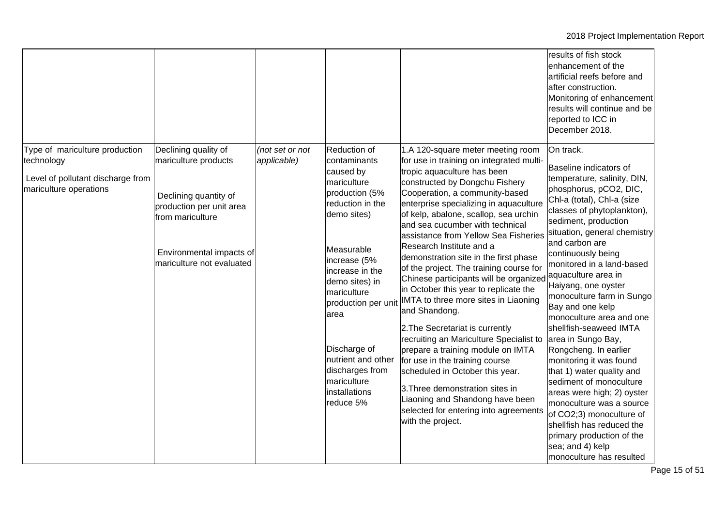|                                                                                                             |                                                                                                                                                                                |                                |                                                                                                                                                                                                                                                                                                                                      |                                                                                                                                                                                                                                                                                                                                                                                                                                                                                                                                                                                                                                                                                                                                                                                                                                                                                                                                                            | results of fish stock<br>enhancement of the<br>artificial reefs before and<br>after construction.<br>Monitoring of enhancement<br>results will continue and be<br>reported to ICC in<br>December 2018.                                                                                                                                                                                                                                                                                                                                                                                                                                                                                                                                                |
|-------------------------------------------------------------------------------------------------------------|--------------------------------------------------------------------------------------------------------------------------------------------------------------------------------|--------------------------------|--------------------------------------------------------------------------------------------------------------------------------------------------------------------------------------------------------------------------------------------------------------------------------------------------------------------------------------|------------------------------------------------------------------------------------------------------------------------------------------------------------------------------------------------------------------------------------------------------------------------------------------------------------------------------------------------------------------------------------------------------------------------------------------------------------------------------------------------------------------------------------------------------------------------------------------------------------------------------------------------------------------------------------------------------------------------------------------------------------------------------------------------------------------------------------------------------------------------------------------------------------------------------------------------------------|-------------------------------------------------------------------------------------------------------------------------------------------------------------------------------------------------------------------------------------------------------------------------------------------------------------------------------------------------------------------------------------------------------------------------------------------------------------------------------------------------------------------------------------------------------------------------------------------------------------------------------------------------------------------------------------------------------------------------------------------------------|
| Type of mariculture production<br>technology<br>Level of pollutant discharge from<br>mariculture operations | Declining quality of<br>mariculture products<br>Declining quantity of<br>production per unit area<br>from mariculture<br>Environmental impacts of<br>mariculture not evaluated | (not set or not<br>applicable) | Reduction of<br>contaminants<br>caused by<br>mariculture<br>production (5%<br>reduction in the<br>demo sites)<br>Measurable<br>increase (5%<br>increase in the<br>demo sites) in<br>mariculture<br>production per unit<br>area<br>Discharge of<br>nutrient and other<br>discharges from<br>mariculture<br>installations<br>reduce 5% | 1.A 120-square meter meeting room<br>for use in training on integrated multi-<br>tropic aquaculture has been<br>constructed by Dongchu Fishery<br>Cooperation, a community-based<br>enterprise specializing in aquaculture<br>of kelp, abalone, scallop, sea urchin<br>and sea cucumber with technical<br>assistance from Yellow Sea Fisheries<br>Research Institute and a<br>demonstration site in the first phase<br>of the project. The training course for<br>Chinese participants will be organized aquaculture area in<br>in October this year to replicate the<br>IMTA to three more sites in Liaoning<br>and Shandong.<br>2. The Secretariat is currently<br>recruiting an Mariculture Specialist to<br>prepare a training module on IMTA<br>for use in the training course<br>scheduled in October this year.<br>3. Three demonstration sites in<br>Liaoning and Shandong have been<br>selected for entering into agreements<br>with the project. | On track.<br>Baseline indicators of<br>temperature, salinity, DIN,<br>phosphorus, pCO2, DIC,<br>Chl-a (total), Chl-a (size<br>classes of phytoplankton),<br>sediment, production<br>situation, general chemistry<br>and carbon are<br>continuously being<br>monitored in a land-based<br>Haiyang, one oyster<br>monoculture farm in Sungo<br>Bay and one kelp<br>monoculture area and one<br>shellfish-seaweed IMTA<br>area in Sungo Bay,<br>Rongcheng. In earlier<br>monitoring it was found<br>that 1) water quality and<br>sediment of monoculture<br>areas were high; 2) oyster<br>monoculture was a source<br>of CO2;3) monoculture of<br>shellfish has reduced the<br>primary production of the<br>sea; and 4) kelp<br>monoculture has resulted |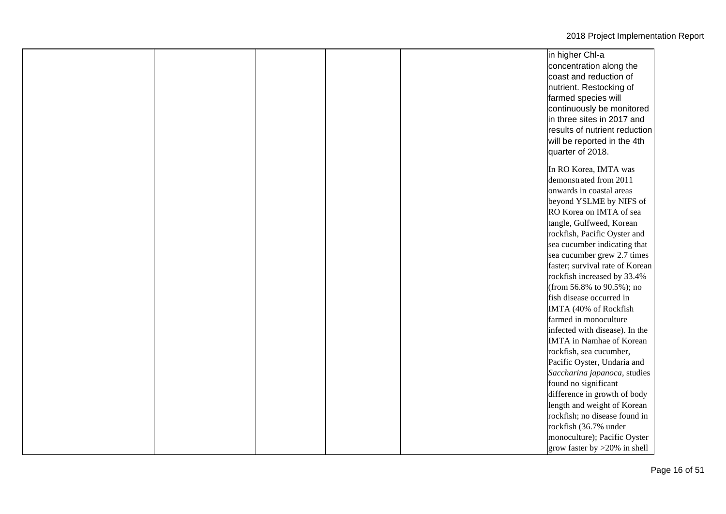|  |  | in higher Chl-a                 |
|--|--|---------------------------------|
|  |  | concentration along the         |
|  |  | coast and reduction of          |
|  |  | nutrient. Restocking of         |
|  |  | farmed species will             |
|  |  | continuously be monitored       |
|  |  | in three sites in 2017 and      |
|  |  | results of nutrient reduction   |
|  |  | will be reported in the 4th     |
|  |  | quarter of 2018.                |
|  |  |                                 |
|  |  | In RO Korea, IMTA was           |
|  |  | demonstrated from 2011          |
|  |  | onwards in coastal areas        |
|  |  | beyond YSLME by NIFS of         |
|  |  | RO Korea on IMTA of sea         |
|  |  | tangle, Gulfweed, Korean        |
|  |  | rockfish, Pacific Oyster and    |
|  |  | sea cucumber indicating that    |
|  |  | sea cucumber grew 2.7 times     |
|  |  | faster; survival rate of Korean |
|  |  | rockfish increased by 33.4%     |
|  |  | (from 56.8% to 90.5%); no       |
|  |  | fish disease occurred in        |
|  |  | IMTA (40% of Rockfish           |
|  |  | farmed in monoculture           |
|  |  | infected with disease). In the  |
|  |  | <b>IMTA</b> in Namhae of Korean |
|  |  | rockfish, sea cucumber,         |
|  |  | Pacific Oyster, Undaria and     |
|  |  | Saccharina japanoca, studies    |
|  |  | found no significant            |
|  |  | difference in growth of body    |
|  |  | length and weight of Korean     |
|  |  | rockfish; no disease found in   |
|  |  | rockfish (36.7% under           |
|  |  | monoculture); Pacific Oyster    |
|  |  | grow faster by $>20\%$ in shell |
|  |  |                                 |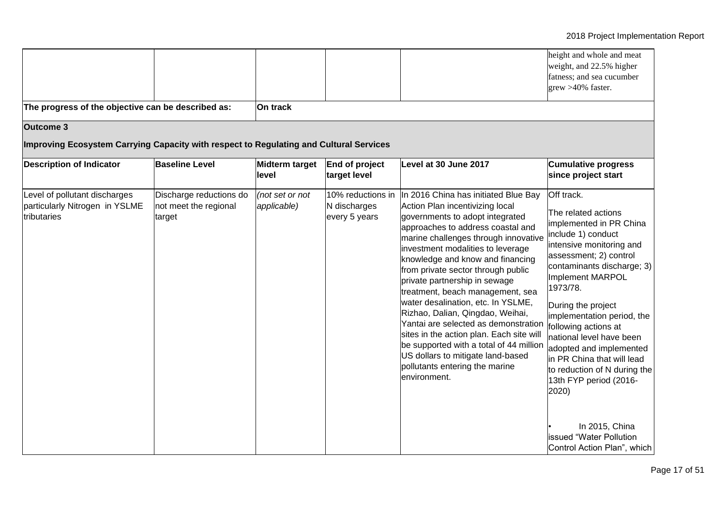|                                                                                        |                                                            |                                |                                                    |                                                                                                                                                                                                                                                                                                                                                                                                                                                                                                                                                                                                                                                                             | height and whole and meat<br>weight, and 22.5% higher<br>fatness; and sea cucumber<br>grew >40% faster.                                                                                                                                                                                                                                                                                                                                                                                                                       |
|----------------------------------------------------------------------------------------|------------------------------------------------------------|--------------------------------|----------------------------------------------------|-----------------------------------------------------------------------------------------------------------------------------------------------------------------------------------------------------------------------------------------------------------------------------------------------------------------------------------------------------------------------------------------------------------------------------------------------------------------------------------------------------------------------------------------------------------------------------------------------------------------------------------------------------------------------------|-------------------------------------------------------------------------------------------------------------------------------------------------------------------------------------------------------------------------------------------------------------------------------------------------------------------------------------------------------------------------------------------------------------------------------------------------------------------------------------------------------------------------------|
| The progress of the objective can be described as:                                     |                                                            | On track                       |                                                    |                                                                                                                                                                                                                                                                                                                                                                                                                                                                                                                                                                                                                                                                             |                                                                                                                                                                                                                                                                                                                                                                                                                                                                                                                               |
| Outcome 3                                                                              |                                                            |                                |                                                    |                                                                                                                                                                                                                                                                                                                                                                                                                                                                                                                                                                                                                                                                             |                                                                                                                                                                                                                                                                                                                                                                                                                                                                                                                               |
| Improving Ecosystem Carrying Capacity with respect to Regulating and Cultural Services |                                                            |                                |                                                    |                                                                                                                                                                                                                                                                                                                                                                                                                                                                                                                                                                                                                                                                             |                                                                                                                                                                                                                                                                                                                                                                                                                                                                                                                               |
| <b>Description of Indicator</b>                                                        | <b>Baseline Level</b>                                      | Midterm target<br>level        | End of project<br>target level                     | Level at 30 June 2017                                                                                                                                                                                                                                                                                                                                                                                                                                                                                                                                                                                                                                                       | <b>Cumulative progress</b><br>since project start                                                                                                                                                                                                                                                                                                                                                                                                                                                                             |
| Level of pollutant discharges<br>particularly Nitrogen in YSLME<br>tributaries         | Discharge reductions do<br>not meet the regional<br>target | (not set or not<br>applicable) | 10% reductions in<br>N discharges<br>every 5 years | In 2016 China has initiated Blue Bay<br>Action Plan incentivizing local<br>governments to adopt integrated<br>approaches to address coastal and<br>marine challenges through innovative<br>investment modalities to leverage<br>knowledge and know and financing<br>from private sector through public<br>private partnership in sewage<br>treatment, beach management, sea<br>water desalination, etc. In YSLME,<br>Rizhao, Dalian, Qingdao, Weihai,<br>Yantai are selected as demonstration<br>sites in the action plan. Each site will<br>be supported with a total of 44 million<br>US dollars to mitigate land-based<br>pollutants entering the marine<br>environment. | Off track.<br>The related actions<br>implemented in PR China<br>include 1) conduct<br>intensive monitoring and<br>assessment; 2) control<br>contaminants discharge; 3)<br><b>Implement MARPOL</b><br>1973/78.<br>During the project<br>implementation period, the<br>following actions at<br>national level have been<br>adopted and implemented<br>in PR China that will lead<br>to reduction of N during the<br>13th FYP period (2016-<br>2020)<br>In 2015, China<br>issued "Water Pollution<br>Control Action Plan", which |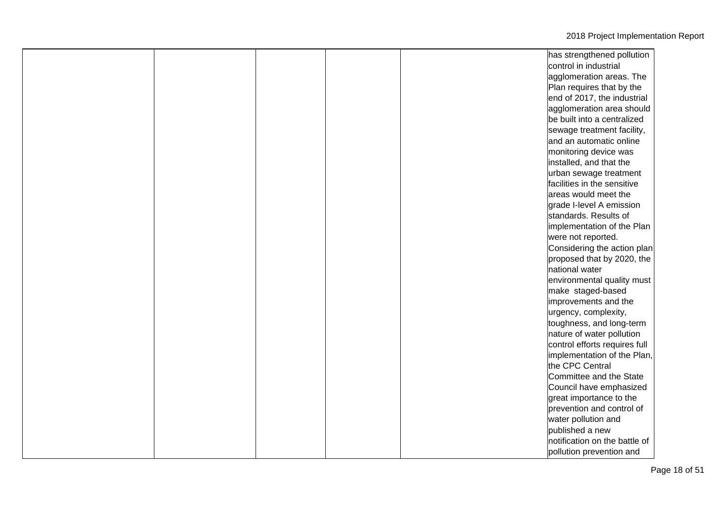|  |  | has strengthened pollution    |
|--|--|-------------------------------|
|  |  | control in industrial         |
|  |  | agglomeration areas. The      |
|  |  | Plan requires that by the     |
|  |  | end of 2017, the industrial   |
|  |  | agglomeration area should     |
|  |  | be built into a centralized   |
|  |  | sewage treatment facility,    |
|  |  | and an automatic online       |
|  |  | monitoring device was         |
|  |  | installed, and that the       |
|  |  | urban sewage treatment        |
|  |  | facilities in the sensitive   |
|  |  | areas would meet the          |
|  |  | grade I-level A emission      |
|  |  | standards. Results of         |
|  |  | implementation of the Plan    |
|  |  | were not reported.            |
|  |  | Considering the action plan   |
|  |  | proposed that by 2020, the    |
|  |  | national water                |
|  |  | environmental quality must    |
|  |  | make staged-based             |
|  |  | improvements and the          |
|  |  | urgency, complexity,          |
|  |  | toughness, and long-term      |
|  |  | nature of water pollution     |
|  |  | control efforts requires full |
|  |  | implementation of the Plan,   |
|  |  | the CPC Central               |
|  |  | Committee and the State       |
|  |  | Council have emphasized       |
|  |  | great importance to the       |
|  |  | prevention and control of     |
|  |  | water pollution and           |
|  |  | published a new               |
|  |  | notification on the battle of |
|  |  | pollution prevention and      |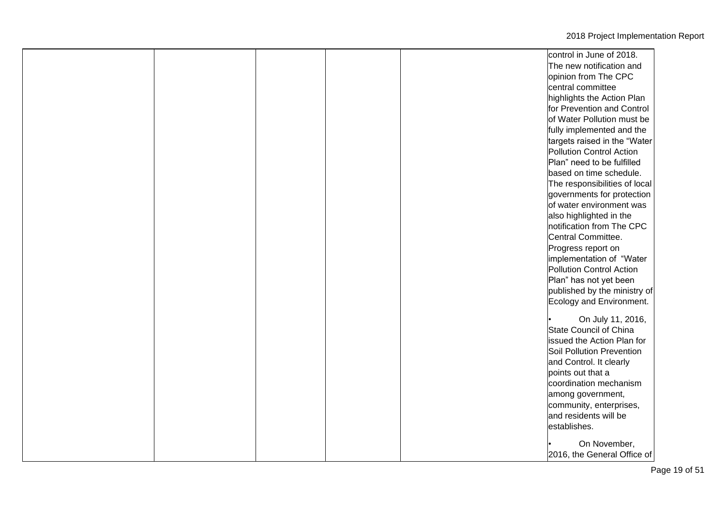|  |  | control in June of 2018.      |
|--|--|-------------------------------|
|  |  | The new notification and      |
|  |  | opinion from The CPC          |
|  |  | central committee             |
|  |  | highlights the Action Plan    |
|  |  | for Prevention and Control    |
|  |  | of Water Pollution must be    |
|  |  | fully implemented and the     |
|  |  | targets raised in the "Water  |
|  |  | Pollution Control Action      |
|  |  | Plan" need to be fulfilled    |
|  |  | based on time schedule.       |
|  |  | The responsibilities of local |
|  |  | governments for protection    |
|  |  | of water environment was      |
|  |  | also highlighted in the       |
|  |  | notification from The CPC     |
|  |  | Central Committee.            |
|  |  | Progress report on            |
|  |  | implementation of "Water      |
|  |  | Pollution Control Action      |
|  |  |                               |
|  |  | Plan" has not yet been        |
|  |  | published by the ministry of  |
|  |  | Ecology and Environment.      |
|  |  | On July 11, 2016,             |
|  |  | State Council of China        |
|  |  | issued the Action Plan for    |
|  |  | Soil Pollution Prevention     |
|  |  | and Control. It clearly       |
|  |  | points out that a             |
|  |  | coordination mechanism        |
|  |  | among government,             |
|  |  | community, enterprises,       |
|  |  | and residents will be         |
|  |  | establishes.                  |
|  |  |                               |
|  |  | On November,                  |
|  |  | 2016, the General Office of   |
|  |  |                               |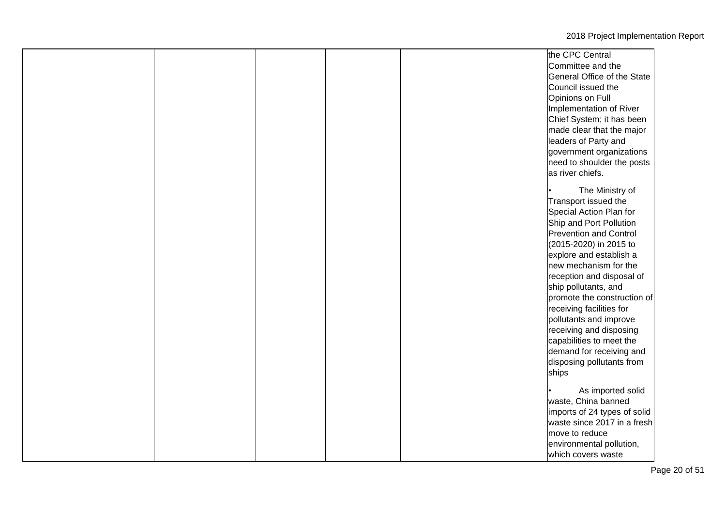|  |  | the CPC Central               |
|--|--|-------------------------------|
|  |  | Committee and the             |
|  |  | General Office of the State   |
|  |  | Council issued the            |
|  |  | Opinions on Full              |
|  |  | Implementation of River       |
|  |  | Chief System; it has been     |
|  |  | made clear that the major     |
|  |  | leaders of Party and          |
|  |  | government organizations      |
|  |  | need to shoulder the posts    |
|  |  | as river chiefs.              |
|  |  |                               |
|  |  | The Ministry of               |
|  |  | Transport issued the          |
|  |  | Special Action Plan for       |
|  |  | Ship and Port Pollution       |
|  |  | <b>Prevention and Control</b> |
|  |  | (2015-2020) in 2015 to        |
|  |  | explore and establish a       |
|  |  | new mechanism for the         |
|  |  | reception and disposal of     |
|  |  | ship pollutants, and          |
|  |  | promote the construction of   |
|  |  | receiving facilities for      |
|  |  | pollutants and improve        |
|  |  | receiving and disposing       |
|  |  | capabilities to meet the      |
|  |  | demand for receiving and      |
|  |  | disposing pollutants from     |
|  |  | ships                         |
|  |  |                               |
|  |  | As imported solid             |
|  |  | waste, China banned           |
|  |  | imports of 24 types of solid  |
|  |  | waste since 2017 in a fresh   |
|  |  | move to reduce                |
|  |  | environmental pollution,      |
|  |  | which covers waste            |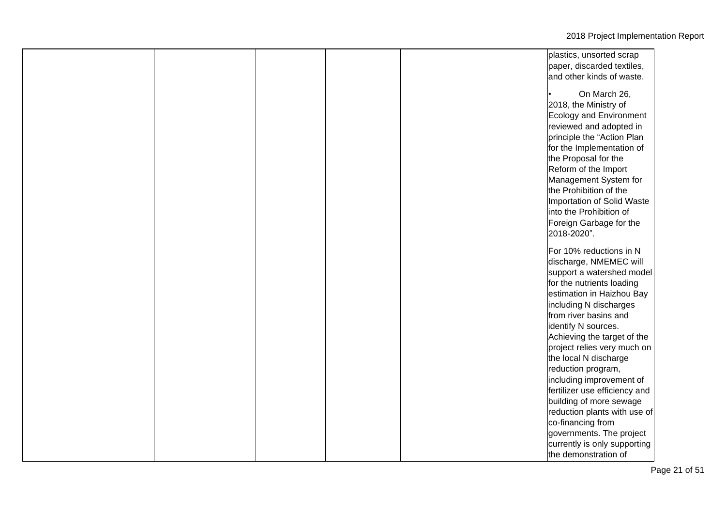|  |  | plastics, unsorted scrap      |
|--|--|-------------------------------|
|  |  | paper, discarded textiles,    |
|  |  | and other kinds of waste.     |
|  |  |                               |
|  |  | On March 26,                  |
|  |  | 2018, the Ministry of         |
|  |  | Ecology and Environment       |
|  |  | reviewed and adopted in       |
|  |  | principle the "Action Plan    |
|  |  | for the Implementation of     |
|  |  | the Proposal for the          |
|  |  | Reform of the Import          |
|  |  | Management System for         |
|  |  | the Prohibition of the        |
|  |  | Importation of Solid Waste    |
|  |  | into the Prohibition of       |
|  |  | Foreign Garbage for the       |
|  |  | 2018-2020".                   |
|  |  |                               |
|  |  | For 10% reductions in N       |
|  |  | discharge, NMEMEC will        |
|  |  | support a watershed model     |
|  |  | for the nutrients loading     |
|  |  | estimation in Haizhou Bay     |
|  |  | including N discharges        |
|  |  | from river basins and         |
|  |  | identify N sources.           |
|  |  | Achieving the target of the   |
|  |  | project relies very much on   |
|  |  | the local N discharge         |
|  |  | reduction program,            |
|  |  | including improvement of      |
|  |  | fertilizer use efficiency and |
|  |  | building of more sewage       |
|  |  | reduction plants with use of  |
|  |  | co-financing from             |
|  |  | governments. The project      |
|  |  | currently is only supporting  |
|  |  | the demonstration of          |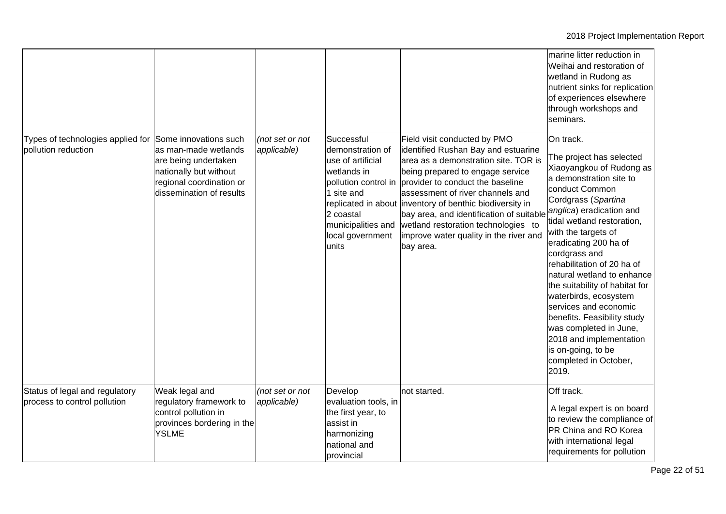|                                                                |                                                                                                                                                         |                                |                                                                                                                                                                          |                                                                                                                                                                                                                                                                                                                                                                                                                               | marine litter reduction in<br>Weihai and restoration of<br>wetland in Rudong as<br>nutrient sinks for replication<br>of experiences elsewhere<br>through workshops and<br>seminars.                                                                                                                                                                                                                                                                                                                                                                          |
|----------------------------------------------------------------|---------------------------------------------------------------------------------------------------------------------------------------------------------|--------------------------------|--------------------------------------------------------------------------------------------------------------------------------------------------------------------------|-------------------------------------------------------------------------------------------------------------------------------------------------------------------------------------------------------------------------------------------------------------------------------------------------------------------------------------------------------------------------------------------------------------------------------|--------------------------------------------------------------------------------------------------------------------------------------------------------------------------------------------------------------------------------------------------------------------------------------------------------------------------------------------------------------------------------------------------------------------------------------------------------------------------------------------------------------------------------------------------------------|
| Types of technologies applied for<br>pollution reduction       | Some innovations such<br>as man-made wetlands<br>are being undertaken<br>nationally but without<br>regional coordination or<br>dissemination of results | (not set or not<br>applicable) | Successful<br>demonstration of<br>use of artificial<br>wetlands in<br>pollution control in<br>1 site and<br>2 coastal<br>municipalities and<br>local government<br>units | Field visit conducted by PMO<br>identified Rushan Bay and estuarine<br>area as a demonstration site. TOR is<br>being prepared to engage service<br>provider to conduct the baseline<br>assessment of river channels and<br>replicated in about inventory of benthic biodiversity in<br>bay area, and identification of suitable<br>wetland restoration technologies to<br>improve water quality in the river and<br>bay area. | On track.<br>The project has selected<br>Xiaoyangkou of Rudong as<br>a demonstration site to<br>conduct Common<br>Cordgrass (Spartina<br>anglica) eradication and<br>tidal wetland restoration,<br>with the targets of<br>eradicating 200 ha of<br>cordgrass and<br>rehabilitation of 20 ha of<br>natural wetland to enhance<br>the suitability of habitat for<br>waterbirds, ecosystem<br>services and economic<br>benefits. Feasibility study<br>was completed in June,<br>2018 and implementation<br>is on-going, to be<br>completed in October,<br>2019. |
| Status of legal and regulatory<br>process to control pollution | Weak legal and<br>regulatory framework to<br>control pollution in<br>provinces bordering in the<br><b>YSLME</b>                                         | (not set or not<br>applicable) | Develop<br>evaluation tools, in<br>the first year, to<br>assist in<br>harmonizing<br>national and<br>provincial                                                          | not started.                                                                                                                                                                                                                                                                                                                                                                                                                  | Off track.<br>A legal expert is on board<br>to review the compliance of<br>PR China and RO Korea<br>with international legal<br>requirements for pollution                                                                                                                                                                                                                                                                                                                                                                                                   |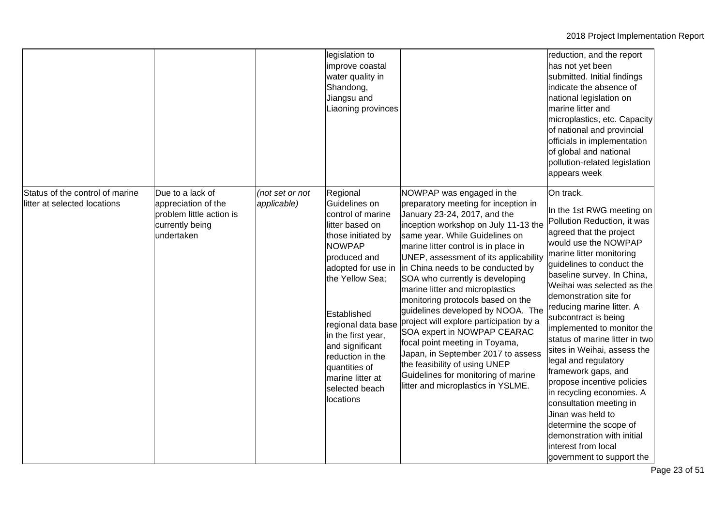|                                                                 |                                                                                                      |                                | legislation to<br>improve coastal<br>water quality in<br>Shandong,<br>Jiangsu and<br>Liaoning provinces                                                                                                                                                                                                                                 |                                                                                                                                                                                                                                                                                                                                                                                                                                                                                                                                                                                                                                                                                                                   | reduction, and the report<br>has not yet been<br>submitted. Initial findings<br>indicate the absence of<br>national legislation on<br>marine litter and<br>microplastics, etc. Capacity<br>of national and provincial<br>officials in implementation<br>of global and national<br>pollution-related legislation<br>appears week                                                                                                                                                                                                                                                                                                                                                                   |
|-----------------------------------------------------------------|------------------------------------------------------------------------------------------------------|--------------------------------|-----------------------------------------------------------------------------------------------------------------------------------------------------------------------------------------------------------------------------------------------------------------------------------------------------------------------------------------|-------------------------------------------------------------------------------------------------------------------------------------------------------------------------------------------------------------------------------------------------------------------------------------------------------------------------------------------------------------------------------------------------------------------------------------------------------------------------------------------------------------------------------------------------------------------------------------------------------------------------------------------------------------------------------------------------------------------|---------------------------------------------------------------------------------------------------------------------------------------------------------------------------------------------------------------------------------------------------------------------------------------------------------------------------------------------------------------------------------------------------------------------------------------------------------------------------------------------------------------------------------------------------------------------------------------------------------------------------------------------------------------------------------------------------|
| Status of the control of marine<br>litter at selected locations | Due to a lack of<br>appreciation of the<br>problem little action is<br>currently being<br>undertaken | (not set or not<br>applicable) | Regional<br>Guidelines on<br>control of marine<br>litter based on<br>those initiated by<br><b>NOWPAP</b><br>produced and<br>adopted for use in<br>the Yellow Sea;<br>Established<br>regional data base<br>in the first year,<br>and significant<br>reduction in the<br>quantities of<br>marine litter at<br>selected beach<br>locations | NOWPAP was engaged in the<br>preparatory meeting for inception in<br>January 23-24, 2017, and the<br>inception workshop on July 11-13 the<br>same year. While Guidelines on<br>marine litter control is in place in<br>UNEP, assessment of its applicability<br>in China needs to be conducted by<br>SOA who currently is developing<br>marine litter and microplastics<br>monitoring protocols based on the<br>guidelines developed by NOOA. The<br>project will explore participation by a<br>SOA expert in NOWPAP CEARAC<br>focal point meeting in Toyama,<br>Japan, in September 2017 to assess<br>the feasibility of using UNEP<br>Guidelines for monitoring of marine<br>litter and microplastics in YSLME. | On track.<br>In the 1st RWG meeting on<br>Pollution Reduction, it was<br>agreed that the project<br>would use the NOWPAP<br>marine litter monitoring<br>guidelines to conduct the<br>baseline survey. In China,<br>Weihai was selected as the<br>demonstration site for<br>reducing marine litter. A<br>subcontract is being<br>implemented to monitor the<br>status of marine litter in two<br>sites in Weihai, assess the<br>legal and regulatory<br>framework gaps, and<br>propose incentive policies<br>in recycling economies. A<br>consultation meeting in<br>Jinan was held to<br>determine the scope of<br>demonstration with initial<br>interest from local<br>government to support the |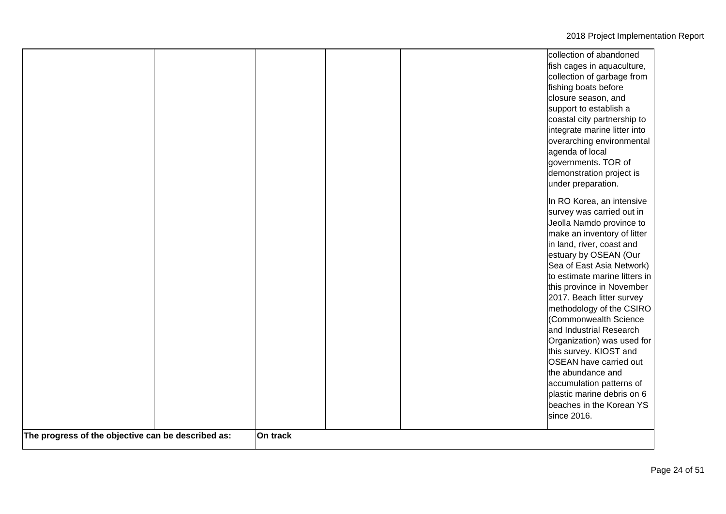|                                                    |          | collection of abandoned<br>fish cages in aquaculture,<br>collection of garbage from<br>fishing boats before<br>closure season, and<br>support to establish a                                                                                                               |
|----------------------------------------------------|----------|----------------------------------------------------------------------------------------------------------------------------------------------------------------------------------------------------------------------------------------------------------------------------|
|                                                    |          | coastal city partnership to<br>integrate marine litter into<br>overarching environmental<br>agenda of local<br>governments. TOR of<br>demonstration project is<br>under preparation.                                                                                       |
|                                                    |          | In RO Korea, an intensive<br>survey was carried out in<br>Jeolla Namdo province to<br>make an inventory of litter<br>in land, river, coast and<br>estuary by OSEAN (Our<br>Sea of East Asia Network)<br>to estimate marine litters in<br>this province in November         |
|                                                    |          | 2017. Beach litter survey<br>methodology of the CSIRO<br>(Commonwealth Science<br>and Industrial Research<br>Organization) was used for<br>this survey. KIOST and<br>OSEAN have carried out<br>the abundance and<br>accumulation patterns of<br>plastic marine debris on 6 |
| The progress of the objective can be described as: | On track | beaches in the Korean YS<br>since 2016.                                                                                                                                                                                                                                    |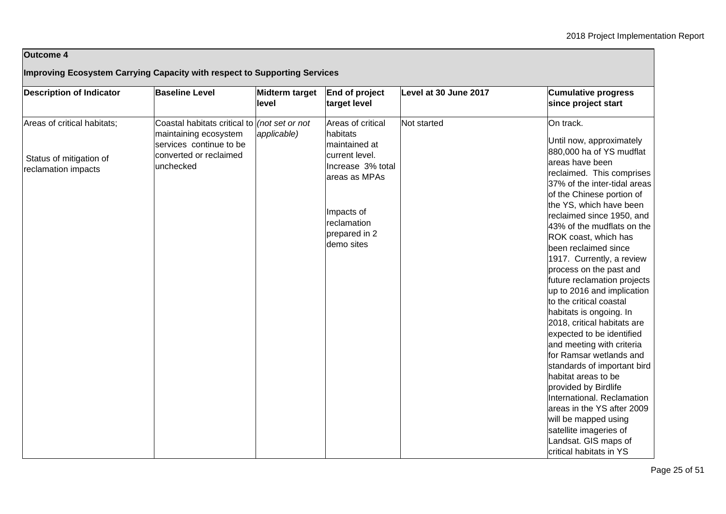## **Outcome 4**

## **Improving Ecosystem Carrying Capacity with respect to Supporting Services**

| <b>Description of Indicator</b> | <b>Baseline Level</b>                        | <b>Midterm target</b><br>level | End of project<br>target level | Level at 30 June 2017 | <b>Cumulative progress</b><br>since project start                                                 |
|---------------------------------|----------------------------------------------|--------------------------------|--------------------------------|-----------------------|---------------------------------------------------------------------------------------------------|
| Areas of critical habitats;     | Coastal habitats critical to (not set or not |                                | Areas of critical              | Not started           | On track.                                                                                         |
|                                 | maintaining ecosystem                        | applicable)                    | habitats                       |                       |                                                                                                   |
|                                 | services continue to be                      |                                | maintained at                  |                       | Until now, approximately                                                                          |
| Status of mitigation of         | converted or reclaimed                       |                                | current level.                 |                       | 880,000 ha of YS mudflat                                                                          |
| reclamation impacts             | unchecked                                    |                                | Increase 3% total              |                       | areas have been                                                                                   |
|                                 |                                              |                                | areas as MPAs                  |                       | reclaimed. This comprises                                                                         |
|                                 |                                              |                                |                                |                       | 37% of the inter-tidal areas                                                                      |
|                                 |                                              |                                |                                |                       | of the Chinese portion of                                                                         |
|                                 |                                              |                                | Impacts of                     |                       | the YS, which have been                                                                           |
|                                 |                                              |                                | reclamation                    |                       | reclaimed since 1950, and                                                                         |
|                                 |                                              |                                | prepared in 2                  |                       | 43% of the mudflats on the                                                                        |
|                                 |                                              |                                | demo sites                     |                       | ROK coast, which has                                                                              |
|                                 |                                              |                                |                                |                       | been reclaimed since                                                                              |
|                                 |                                              |                                |                                |                       | 1917. Currently, a review                                                                         |
|                                 |                                              |                                |                                |                       | process on the past and                                                                           |
|                                 |                                              |                                |                                |                       | future reclamation projects                                                                       |
|                                 |                                              |                                |                                |                       | up to 2016 and implication                                                                        |
|                                 |                                              |                                |                                |                       | to the critical coastal                                                                           |
|                                 |                                              |                                |                                |                       | habitats is ongoing. In                                                                           |
|                                 |                                              |                                |                                |                       | 2018, critical habitats are                                                                       |
|                                 |                                              |                                |                                |                       | expected to be identified                                                                         |
|                                 |                                              |                                |                                |                       | and meeting with criteria<br>for Ramsar wetlands and                                              |
|                                 |                                              |                                |                                |                       | standards of important bird                                                                       |
|                                 |                                              |                                |                                |                       | habitat areas to be                                                                               |
|                                 |                                              |                                |                                |                       | provided by Birdlife                                                                              |
|                                 |                                              |                                |                                |                       | International. Reclamation                                                                        |
|                                 |                                              |                                |                                |                       | areas in the YS after 2009                                                                        |
|                                 |                                              |                                |                                |                       |                                                                                                   |
|                                 |                                              |                                |                                |                       |                                                                                                   |
|                                 |                                              |                                |                                |                       |                                                                                                   |
|                                 |                                              |                                |                                |                       |                                                                                                   |
|                                 |                                              |                                |                                |                       | will be mapped using<br>satellite imageries of<br>Landsat. GIS maps of<br>critical habitats in YS |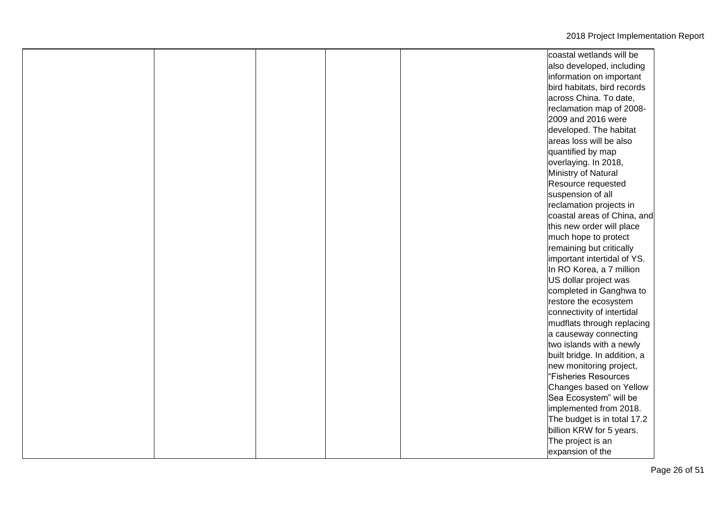|  |  | coastal wetlands will be     |
|--|--|------------------------------|
|  |  | also developed, including    |
|  |  | information on important     |
|  |  | bird habitats, bird records  |
|  |  | across China. To date,       |
|  |  | reclamation map of 2008-     |
|  |  | 2009 and 2016 were           |
|  |  | developed. The habitat       |
|  |  | areas loss will be also      |
|  |  | quantified by map            |
|  |  | overlaying. In 2018,         |
|  |  | Ministry of Natural          |
|  |  | Resource requested           |
|  |  | suspension of all            |
|  |  | reclamation projects in      |
|  |  | coastal areas of China, and  |
|  |  | this new order will place    |
|  |  | much hope to protect         |
|  |  | remaining but critically     |
|  |  | important intertidal of YS.  |
|  |  | In RO Korea, a 7 million     |
|  |  | US dollar project was        |
|  |  | completed in Ganghwa to      |
|  |  | restore the ecosystem        |
|  |  | connectivity of intertidal   |
|  |  | mudflats through replacing   |
|  |  | a causeway connecting        |
|  |  | two islands with a newly     |
|  |  | built bridge. In addition, a |
|  |  | new monitoring project,      |
|  |  | "Fisheries Resources         |
|  |  | Changes based on Yellow      |
|  |  | Sea Ecosystem" will be       |
|  |  | implemented from 2018.       |
|  |  | The budget is in total 17.2  |
|  |  | billion KRW for 5 years.     |
|  |  | The project is an            |
|  |  | expansion of the             |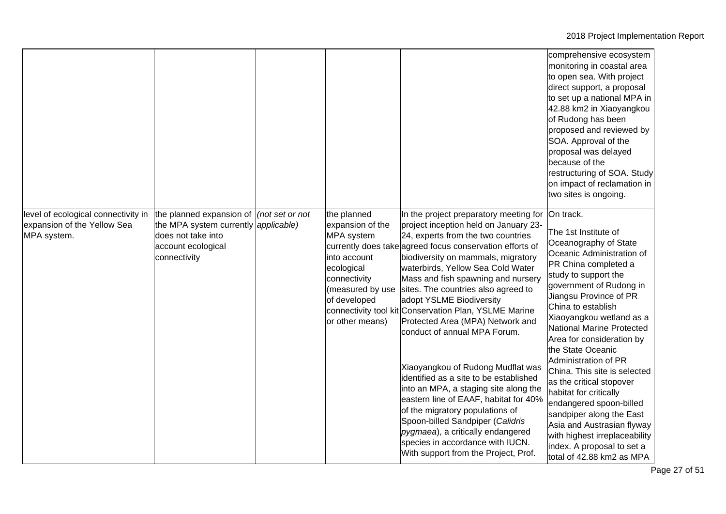|                                                                                   |                                                                                                                                                          |                                                                                                                                                    |                                                                                                                                                                                                                                                                                                                                                                                                                                                                                                                                                                                                                                                                                                                                                                                                                                                             | comprehensive ecosystem<br>monitoring in coastal area<br>to open sea. With project<br>direct support, a proposal<br>to set up a national MPA in<br>42.88 km2 in Xiaoyangkou<br>of Rudong has been<br>proposed and reviewed by<br>SOA. Approval of the<br>proposal was delayed<br>because of the<br>restructuring of SOA. Study<br>on impact of reclamation in<br>two sites is ongoing.                                                                                                                                                                                                                                       |
|-----------------------------------------------------------------------------------|----------------------------------------------------------------------------------------------------------------------------------------------------------|----------------------------------------------------------------------------------------------------------------------------------------------------|-------------------------------------------------------------------------------------------------------------------------------------------------------------------------------------------------------------------------------------------------------------------------------------------------------------------------------------------------------------------------------------------------------------------------------------------------------------------------------------------------------------------------------------------------------------------------------------------------------------------------------------------------------------------------------------------------------------------------------------------------------------------------------------------------------------------------------------------------------------|------------------------------------------------------------------------------------------------------------------------------------------------------------------------------------------------------------------------------------------------------------------------------------------------------------------------------------------------------------------------------------------------------------------------------------------------------------------------------------------------------------------------------------------------------------------------------------------------------------------------------|
| level of ecological connectivity in<br>expansion of the Yellow Sea<br>MPA system. | the planned expansion of $ $ (not set or not<br>the MPA system currently <i>applicable</i> )<br>does not take into<br>account ecological<br>connectivity | the planned<br>expansion of the<br>MPA system<br>into account<br>ecological<br>connectivity<br>(measured by use<br>of developed<br>or other means) | In the project preparatory meeting for<br>project inception held on January 23-<br>24, experts from the two countries<br>currently does take agreed focus conservation efforts of<br>biodiversity on mammals, migratory<br>waterbirds, Yellow Sea Cold Water<br>Mass and fish spawning and nursery<br>sites. The countries also agreed to<br>adopt YSLME Biodiversity<br>connectivity tool kit Conservation Plan, YSLME Marine<br>Protected Area (MPA) Network and<br>conduct of annual MPA Forum.<br>Xiaoyangkou of Rudong Mudflat was<br>identified as a site to be established<br>into an MPA, a staging site along the<br>eastern line of EAAF, habitat for 40%<br>of the migratory populations of<br>Spoon-billed Sandpiper (Calidris<br>pygmaea), a critically endangered<br>species in accordance with IUCN.<br>With support from the Project, Prof. | On track.<br>The 1st Institute of<br>Oceanography of State<br>Oceanic Administration of<br>PR China completed a<br>study to support the<br>government of Rudong in<br>Jiangsu Province of PR<br>China to establish<br>Xiaoyangkou wetland as a<br>National Marine Protected<br>Area for consideration by<br>the State Oceanic<br>Administration of PR<br>China. This site is selected<br>as the critical stopover<br>habitat for critically<br>endangered spoon-billed<br>sandpiper along the East<br>Asia and Austrasian flyway<br>with highest irreplaceability<br>index. A proposal to set a<br>total of 42.88 km2 as MPA |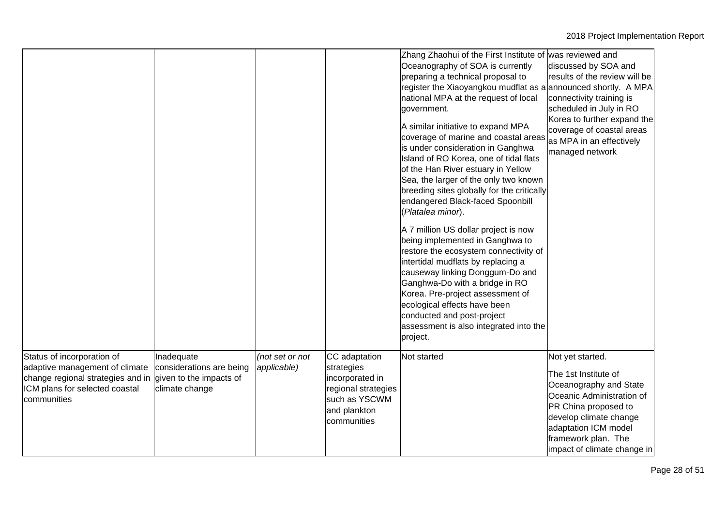|                                                                                                                                                    |                                                                                     |                                |                                                                                                                       | Zhang Zhaohui of the First Institute of was reviewed and<br>Oceanography of SOA is currently<br>preparing a technical proposal to<br>register the Xiaoyangkou mudflat as a announced shortly. A MPA<br>national MPA at the request of local<br>government.<br>A similar initiative to expand MPA<br>coverage of marine and coastal areas<br>is under consideration in Ganghwa<br>Island of RO Korea, one of tidal flats<br>of the Han River estuary in Yellow<br>Sea, the larger of the only two known<br>breeding sites globally for the critically<br>endangered Black-faced Spoonbill<br>(Platalea minor).<br>A 7 million US dollar project is now<br>being implemented in Ganghwa to<br>restore the ecosystem connectivity of<br>intertidal mudflats by replacing a<br>causeway linking Donggum-Do and<br>Ganghwa-Do with a bridge in RO<br>Korea. Pre-project assessment of<br>ecological effects have been<br>conducted and post-project<br>assessment is also integrated into the<br>project. | discussed by SOA and<br>results of the review will be<br>connectivity training is<br>scheduled in July in RO<br>Korea to further expand the<br>coverage of coastal areas<br>as MPA in an effectively<br>managed network         |
|----------------------------------------------------------------------------------------------------------------------------------------------------|-------------------------------------------------------------------------------------|--------------------------------|-----------------------------------------------------------------------------------------------------------------------|------------------------------------------------------------------------------------------------------------------------------------------------------------------------------------------------------------------------------------------------------------------------------------------------------------------------------------------------------------------------------------------------------------------------------------------------------------------------------------------------------------------------------------------------------------------------------------------------------------------------------------------------------------------------------------------------------------------------------------------------------------------------------------------------------------------------------------------------------------------------------------------------------------------------------------------------------------------------------------------------------|---------------------------------------------------------------------------------------------------------------------------------------------------------------------------------------------------------------------------------|
| Status of incorporation of<br>adaptive management of climate<br>change regional strategies and in<br>ICM plans for selected coastal<br>communities | Inadequate<br>considerations are being<br>given to the impacts of<br>climate change | (not set or not<br>applicable) | CC adaptation<br>strategies<br>incorporated in<br>regional strategies<br>such as YSCWM<br>and plankton<br>communities | Not started                                                                                                                                                                                                                                                                                                                                                                                                                                                                                                                                                                                                                                                                                                                                                                                                                                                                                                                                                                                          | Not yet started.<br>The 1st Institute of<br>Oceanography and State<br>Oceanic Administration of<br>PR China proposed to<br>develop climate change<br>adaptation ICM model<br>framework plan. The<br>impact of climate change in |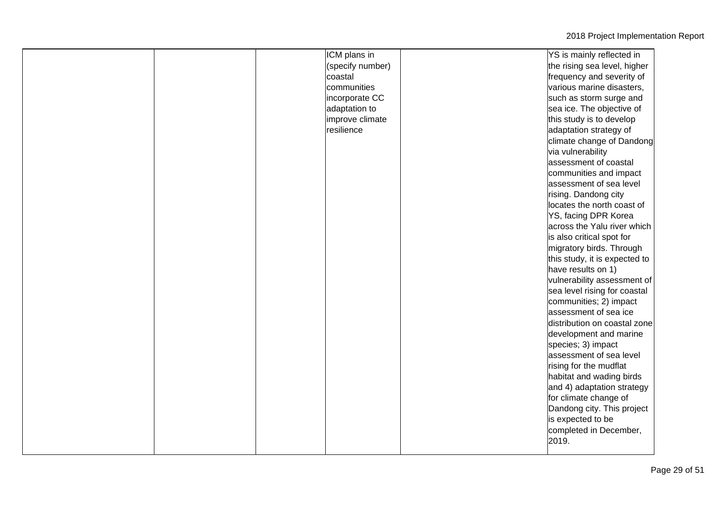|  | ICM plans in     | YS is mainly reflected in     |
|--|------------------|-------------------------------|
|  | (specify number) | the rising sea level, higher  |
|  | coastal          | frequency and severity of     |
|  | communities      | various marine disasters,     |
|  | incorporate CC   | such as storm surge and       |
|  | adaptation to    | sea ice. The objective of     |
|  | improve climate  | this study is to develop      |
|  | resilience       | adaptation strategy of        |
|  |                  | climate change of Dandong     |
|  |                  | via vulnerability             |
|  |                  | assessment of coastal         |
|  |                  | communities and impact        |
|  |                  | assessment of sea level       |
|  |                  | rising. Dandong city          |
|  |                  | locates the north coast of    |
|  |                  | YS, facing DPR Korea          |
|  |                  | across the Yalu river which   |
|  |                  | is also critical spot for     |
|  |                  | migratory birds. Through      |
|  |                  | this study, it is expected to |
|  |                  | have results on 1)            |
|  |                  | vulnerability assessment of   |
|  |                  | sea level rising for coastal  |
|  |                  | communities; 2) impact        |
|  |                  | assessment of sea ice         |
|  |                  | distribution on coastal zone  |
|  |                  | development and marine        |
|  |                  | species; 3) impact            |
|  |                  | assessment of sea level       |
|  |                  | rising for the mudflat        |
|  |                  | habitat and wading birds      |
|  |                  | and 4) adaptation strategy    |
|  |                  | for climate change of         |
|  |                  | Dandong city. This project    |
|  |                  | is expected to be             |
|  |                  | completed in December,        |
|  |                  | 2019.                         |
|  |                  |                               |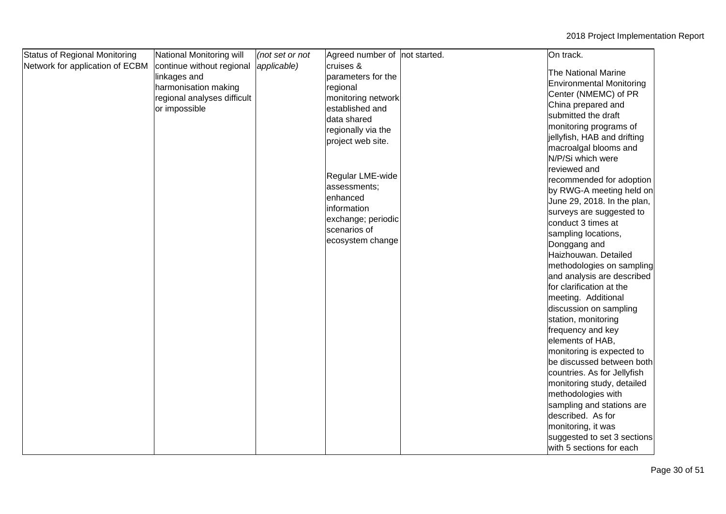| <b>Status of Regional Monitoring</b> | National Monitoring will    | (not set or not | Agreed number of not started. | On track.                                      |  |
|--------------------------------------|-----------------------------|-----------------|-------------------------------|------------------------------------------------|--|
| Network for application of ECBM      | continue without regional   | applicable)     | cruises &                     | <b>The National Marine</b>                     |  |
|                                      | linkages and                |                 | parameters for the            | Environmental Monitoring                       |  |
|                                      | harmonisation making        |                 | regional                      |                                                |  |
|                                      | regional analyses difficult |                 | monitoring network            | Center (NMEMC) of PR                           |  |
|                                      | or impossible               |                 | established and               | China prepared and<br>submitted the draft      |  |
|                                      |                             |                 | data shared                   |                                                |  |
|                                      |                             |                 | regionally via the            | monitoring programs of                         |  |
|                                      |                             |                 | project web site.             | jellyfish, HAB and drifting                    |  |
|                                      |                             |                 |                               | macroalgal blooms and<br>N/P/Si which were     |  |
|                                      |                             |                 |                               |                                                |  |
|                                      |                             |                 | Regular LME-wide              | reviewed and                                   |  |
|                                      |                             |                 | assessments;                  | recommended for adoption                       |  |
|                                      |                             |                 | enhanced                      | by RWG-A meeting held on                       |  |
|                                      |                             |                 | information                   | June 29, 2018. In the plan,                    |  |
|                                      |                             |                 | exchange; periodic            | surveys are suggested to<br>conduct 3 times at |  |
|                                      |                             |                 | scenarios of                  |                                                |  |
|                                      |                             |                 | ecosystem change              | sampling locations,                            |  |
|                                      |                             |                 |                               | Donggang and                                   |  |
|                                      |                             |                 |                               | Haizhouwan. Detailed                           |  |
|                                      |                             |                 |                               | methodologies on sampling                      |  |
|                                      |                             |                 |                               | and analysis are described                     |  |
|                                      |                             |                 |                               | for clarification at the                       |  |
|                                      |                             |                 |                               | meeting. Additional                            |  |
|                                      |                             |                 |                               | discussion on sampling                         |  |
|                                      |                             |                 |                               | station, monitoring                            |  |
|                                      |                             |                 |                               | frequency and key                              |  |
|                                      |                             |                 |                               | elements of HAB,                               |  |
|                                      |                             |                 |                               | monitoring is expected to                      |  |
|                                      |                             |                 |                               | be discussed between both                      |  |
|                                      |                             |                 |                               | countries. As for Jellyfish                    |  |
|                                      |                             |                 |                               | monitoring study, detailed                     |  |
|                                      |                             |                 |                               | methodologies with                             |  |
|                                      |                             |                 |                               | sampling and stations are                      |  |
|                                      |                             |                 |                               | described. As for                              |  |
|                                      |                             |                 |                               | monitoring, it was                             |  |
|                                      |                             |                 |                               | suggested to set 3 sections                    |  |
|                                      |                             |                 |                               | with 5 sections for each                       |  |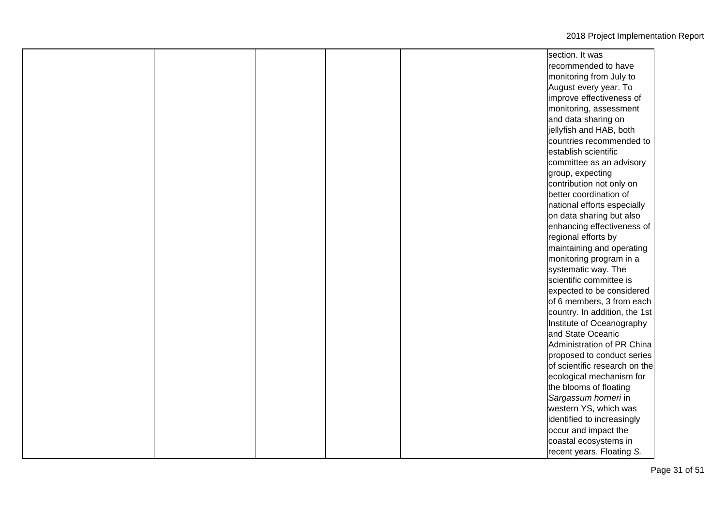| section. It was | recommended to have<br>monitoring from July to<br>August every year. To<br>improve effectiveness of<br>monitoring, assessment<br>and data sharing on<br>jellyfish and HAB, both<br>countries recommended to<br>establish scientific<br>committee as an advisory<br>group, expecting<br>contribution not only on<br>better coordination of<br>national efforts especially<br>on data sharing but also |
|-----------------|------------------------------------------------------------------------------------------------------------------------------------------------------------------------------------------------------------------------------------------------------------------------------------------------------------------------------------------------------------------------------------------------------|
|                 |                                                                                                                                                                                                                                                                                                                                                                                                      |
|                 |                                                                                                                                                                                                                                                                                                                                                                                                      |
|                 |                                                                                                                                                                                                                                                                                                                                                                                                      |
|                 |                                                                                                                                                                                                                                                                                                                                                                                                      |
|                 |                                                                                                                                                                                                                                                                                                                                                                                                      |
|                 |                                                                                                                                                                                                                                                                                                                                                                                                      |
|                 |                                                                                                                                                                                                                                                                                                                                                                                                      |
|                 |                                                                                                                                                                                                                                                                                                                                                                                                      |
|                 |                                                                                                                                                                                                                                                                                                                                                                                                      |
|                 |                                                                                                                                                                                                                                                                                                                                                                                                      |
|                 |                                                                                                                                                                                                                                                                                                                                                                                                      |
|                 |                                                                                                                                                                                                                                                                                                                                                                                                      |
|                 |                                                                                                                                                                                                                                                                                                                                                                                                      |
|                 |                                                                                                                                                                                                                                                                                                                                                                                                      |
|                 |                                                                                                                                                                                                                                                                                                                                                                                                      |
|                 |                                                                                                                                                                                                                                                                                                                                                                                                      |
|                 | enhancing effectiveness of                                                                                                                                                                                                                                                                                                                                                                           |
|                 | regional efforts by                                                                                                                                                                                                                                                                                                                                                                                  |
|                 | maintaining and operating                                                                                                                                                                                                                                                                                                                                                                            |
|                 | monitoring program in a                                                                                                                                                                                                                                                                                                                                                                              |
|                 | systematic way. The                                                                                                                                                                                                                                                                                                                                                                                  |
|                 | scientific committee is                                                                                                                                                                                                                                                                                                                                                                              |
|                 | expected to be considered                                                                                                                                                                                                                                                                                                                                                                            |
|                 | of 6 members, 3 from each                                                                                                                                                                                                                                                                                                                                                                            |
|                 | country. In addition, the 1st                                                                                                                                                                                                                                                                                                                                                                        |
|                 | Institute of Oceanography                                                                                                                                                                                                                                                                                                                                                                            |
|                 | and State Oceanic                                                                                                                                                                                                                                                                                                                                                                                    |
|                 | Administration of PR China                                                                                                                                                                                                                                                                                                                                                                           |
|                 | proposed to conduct series                                                                                                                                                                                                                                                                                                                                                                           |
|                 | of scientific research on the                                                                                                                                                                                                                                                                                                                                                                        |
|                 | ecological mechanism for                                                                                                                                                                                                                                                                                                                                                                             |
|                 | the blooms of floating                                                                                                                                                                                                                                                                                                                                                                               |
|                 | Sargassum horneri in                                                                                                                                                                                                                                                                                                                                                                                 |
|                 | western YS, which was                                                                                                                                                                                                                                                                                                                                                                                |
|                 | identified to increasingly                                                                                                                                                                                                                                                                                                                                                                           |
|                 | occur and impact the                                                                                                                                                                                                                                                                                                                                                                                 |
|                 | coastal ecosystems in                                                                                                                                                                                                                                                                                                                                                                                |
|                 | recent years. Floating S.                                                                                                                                                                                                                                                                                                                                                                            |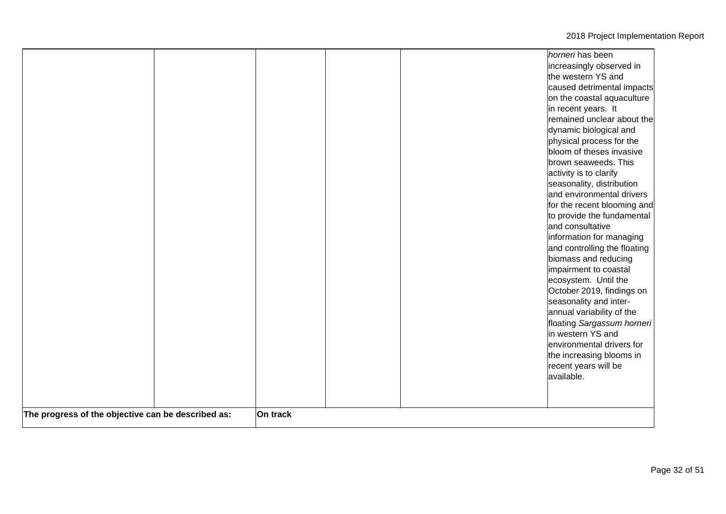|                                                    |          | remained unclear about the<br>dynamic biological and<br>physical process for the<br>bloom of theses invasive<br>brown seaweeds. This<br>activity is to clarify<br>seasonality, distribution<br>and environmental drivers<br>for the recent blooming and<br>to provide the fundamental<br>and consultative<br>information for managing<br>and controlling the floating<br>biomass and reducing<br>impairment to coastal<br>ecosystem. Until the<br>October 2019, findings on<br>seasonality and inter-<br>annual variability of the<br>floating Sargassum horneri |
|----------------------------------------------------|----------|------------------------------------------------------------------------------------------------------------------------------------------------------------------------------------------------------------------------------------------------------------------------------------------------------------------------------------------------------------------------------------------------------------------------------------------------------------------------------------------------------------------------------------------------------------------|
| The progress of the objective can be described as: | On track | in western YS and<br>environmental drivers for<br>the increasing blooms in<br>recent years will be<br>available.                                                                                                                                                                                                                                                                                                                                                                                                                                                 |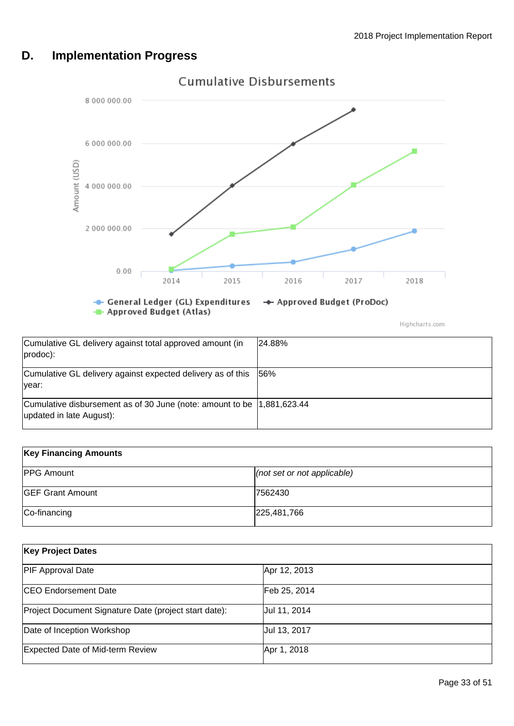# <span id="page-32-0"></span>**D. Implementation Progress**



Highcharts.com

| Cumulative GL delivery against total approved amount (in<br>$prodoc)$ :                             | 24.88%      |
|-----------------------------------------------------------------------------------------------------|-------------|
| Cumulative GL delivery against expected delivery as of this<br>Ivear:                               | <b>156%</b> |
| Cumulative disbursement as of 30 June (note: amount to be  1,881,623.44<br>updated in late August): |             |

| <b>Key Financing Amounts</b> |                                 |  |
|------------------------------|---------------------------------|--|
| <b>PPG Amount</b>            | $ $ (not set or not applicable) |  |
| <b>GEF Grant Amount</b>      | 7562430                         |  |
| Co-financing                 | 225,481,766                     |  |

| <b>Key Project Dates</b>                              |              |  |  |
|-------------------------------------------------------|--------------|--|--|
| <b>PIF Approval Date</b>                              | Apr 12, 2013 |  |  |
| <b>CEO</b> Endorsement Date                           | Feb 25, 2014 |  |  |
| Project Document Signature Date (project start date): | Jul 11, 2014 |  |  |
| Date of Inception Workshop                            | Jul 13, 2017 |  |  |
| Expected Date of Mid-term Review                      | Apr 1, 2018  |  |  |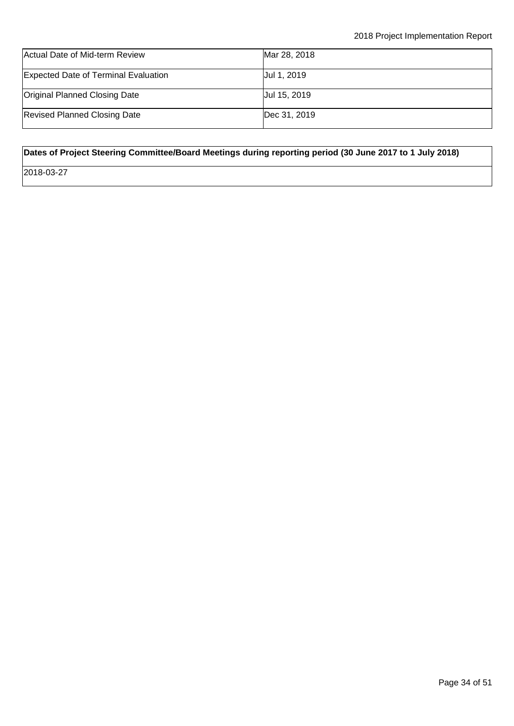| Actual Date of Mid-term Review              | Mar 28, 2018 |
|---------------------------------------------|--------------|
| <b>Expected Date of Terminal Evaluation</b> | Uul 1, 2019  |
| <b>Original Planned Closing Date</b>        | Jul 15, 2019 |
| <b>Revised Planned Closing Date</b>         | Dec 31, 2019 |

## **Dates of Project Steering Committee/Board Meetings during reporting period (30 June 2017 to 1 July 2018)**

2018-03-27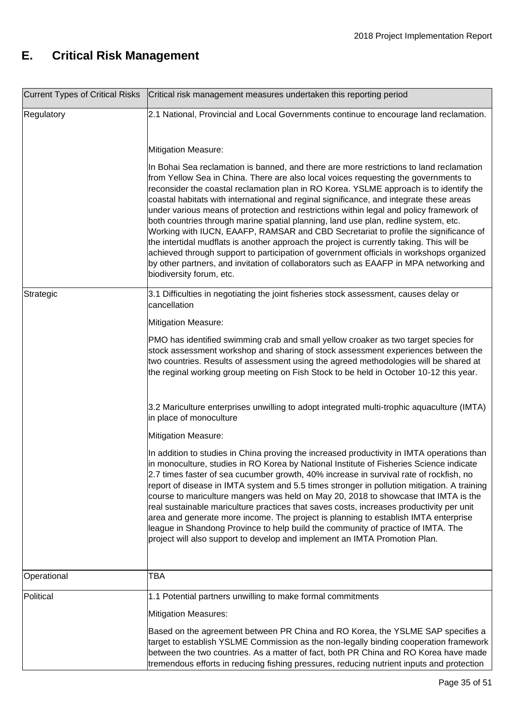# <span id="page-34-0"></span>**E. Critical Risk Management**

|             | Current Types of Critical Risks   Critical risk management measures undertaken this reporting period                                                                                                                                                                                                                                                                                                                                                                                                                                                                                                                                                                                                                                                                                                                                                                                                                                                        |  |
|-------------|-------------------------------------------------------------------------------------------------------------------------------------------------------------------------------------------------------------------------------------------------------------------------------------------------------------------------------------------------------------------------------------------------------------------------------------------------------------------------------------------------------------------------------------------------------------------------------------------------------------------------------------------------------------------------------------------------------------------------------------------------------------------------------------------------------------------------------------------------------------------------------------------------------------------------------------------------------------|--|
| Regulatory  | 2.1 National, Provincial and Local Governments continue to encourage land reclamation.                                                                                                                                                                                                                                                                                                                                                                                                                                                                                                                                                                                                                                                                                                                                                                                                                                                                      |  |
|             | <b>Mitigation Measure:</b>                                                                                                                                                                                                                                                                                                                                                                                                                                                                                                                                                                                                                                                                                                                                                                                                                                                                                                                                  |  |
|             | In Bohai Sea reclamation is banned, and there are more restrictions to land reclamation<br>from Yellow Sea in China. There are also local voices requesting the governments to<br>reconsider the coastal reclamation plan in RO Korea. YSLME approach is to identify the<br>coastal habitats with international and reginal significance, and integrate these areas<br>under various means of protection and restrictions within legal and policy framework of<br>both countries through marine spatial planning, land use plan, redline system, etc.<br>Working with IUCN, EAAFP, RAMSAR and CBD Secretariat to profile the significance of<br>the intertidal mudflats is another approach the project is currently taking. This will be<br>achieved through support to participation of government officials in workshops organized<br>by other partners, and invitation of collaborators such as EAAFP in MPA networking and<br>biodiversity forum, etc. |  |
| Strategic   | 3.1 Difficulties in negotiating the joint fisheries stock assessment, causes delay or<br>cancellation                                                                                                                                                                                                                                                                                                                                                                                                                                                                                                                                                                                                                                                                                                                                                                                                                                                       |  |
|             | <b>Mitigation Measure:</b>                                                                                                                                                                                                                                                                                                                                                                                                                                                                                                                                                                                                                                                                                                                                                                                                                                                                                                                                  |  |
|             | PMO has identified swimming crab and small yellow croaker as two target species for<br>stock assessment workshop and sharing of stock assessment experiences between the<br>two countries. Results of assessment using the agreed methodologies will be shared at<br>the reginal working group meeting on Fish Stock to be held in October 10-12 this year.                                                                                                                                                                                                                                                                                                                                                                                                                                                                                                                                                                                                 |  |
|             | 3.2 Mariculture enterprises unwilling to adopt integrated multi-trophic aquaculture (IMTA)<br>in place of monoculture                                                                                                                                                                                                                                                                                                                                                                                                                                                                                                                                                                                                                                                                                                                                                                                                                                       |  |
|             | <b>Mitigation Measure:</b>                                                                                                                                                                                                                                                                                                                                                                                                                                                                                                                                                                                                                                                                                                                                                                                                                                                                                                                                  |  |
|             | In addition to studies in China proving the increased productivity in IMTA operations than<br>in monoculture, studies in RO Korea by National Institute of Fisheries Science indicate<br>2.7 times faster of sea cucumber growth, 40% increase in survival rate of rockfish, no<br>report of disease in IMTA system and 5.5 times stronger in pollution mitigation. A training<br>course to mariculture mangers was held on May 20, 2018 to showcase that IMTA is the<br>real sustainable mariculture practices that saves costs, increases productivity per unit<br>area and generate more income. The project is planning to establish IMTA enterprise<br>league in Shandong Province to help build the community of practice of IMTA. The<br>project will also support to develop and implement an IMTA Promotion Plan.                                                                                                                                  |  |
| Operational | TBA                                                                                                                                                                                                                                                                                                                                                                                                                                                                                                                                                                                                                                                                                                                                                                                                                                                                                                                                                         |  |
| Political   | 1.1 Potential partners unwilling to make formal commitments                                                                                                                                                                                                                                                                                                                                                                                                                                                                                                                                                                                                                                                                                                                                                                                                                                                                                                 |  |
|             | <b>Mitigation Measures:</b>                                                                                                                                                                                                                                                                                                                                                                                                                                                                                                                                                                                                                                                                                                                                                                                                                                                                                                                                 |  |
|             | Based on the agreement between PR China and RO Korea, the YSLME SAP specifies a<br>target to establish YSLME Commission as the non-legally binding cooperation framework<br>between the two countries. As a matter of fact, both PR China and RO Korea have made<br>tremendous efforts in reducing fishing pressures, reducing nutrient inputs and protection                                                                                                                                                                                                                                                                                                                                                                                                                                                                                                                                                                                               |  |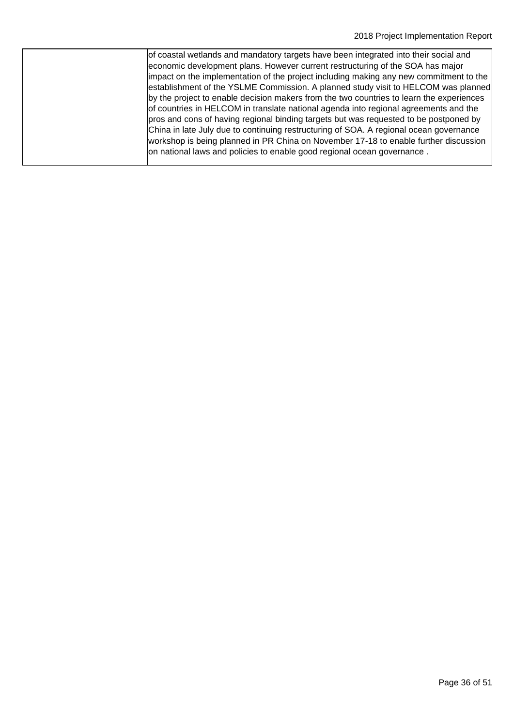| of coastal wetlands and mandatory targets have been integrated into their social and<br>economic development plans. However current restructuring of the SOA has major         |
|--------------------------------------------------------------------------------------------------------------------------------------------------------------------------------|
| impact on the implementation of the project including making any new commitment to the                                                                                         |
| establishment of the YSLME Commission. A planned study visit to HELCOM was planned<br>by the project to enable decision makers from the two countries to learn the experiences |
| of countries in HELCOM in translate national agenda into regional agreements and the<br>pros and cons of having regional binding targets but was requested to be postponed by  |
| China in late July due to continuing restructuring of SOA. A regional ocean governance<br>workshop is being planned in PR China on November 17-18 to enable further discussion |
| on national laws and policies to enable good regional ocean governance.                                                                                                        |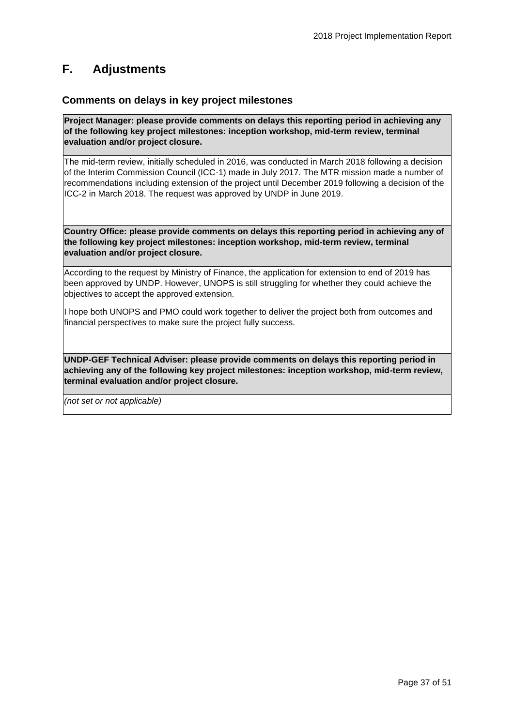# <span id="page-36-0"></span>**F. Adjustments**

## **Comments on delays in key project milestones**

**Project Manager: please provide comments on delays this reporting period in achieving any of the following key project milestones: inception workshop, mid-term review, terminal evaluation and/or project closure.**

The mid-term review, initially scheduled in 2016, was conducted in March 2018 following a decision of the Interim Commission Council (ICC-1) made in July 2017. The MTR mission made a number of recommendations including extension of the project until December 2019 following a decision of the ICC-2 in March 2018. The request was approved by UNDP in June 2019.

**Country Office: please provide comments on delays this reporting period in achieving any of the following key project milestones: inception workshop, mid-term review, terminal evaluation and/or project closure.**

According to the request by Ministry of Finance, the application for extension to end of 2019 has been approved by UNDP. However, UNOPS is still struggling for whether they could achieve the objectives to accept the approved extension.

I hope both UNOPS and PMO could work together to deliver the project both from outcomes and financial perspectives to make sure the project fully success.

**UNDP-GEF Technical Adviser: please provide comments on delays this reporting period in achieving any of the following key project milestones: inception workshop, mid-term review, terminal evaluation and/or project closure.**

*(not set or not applicable)*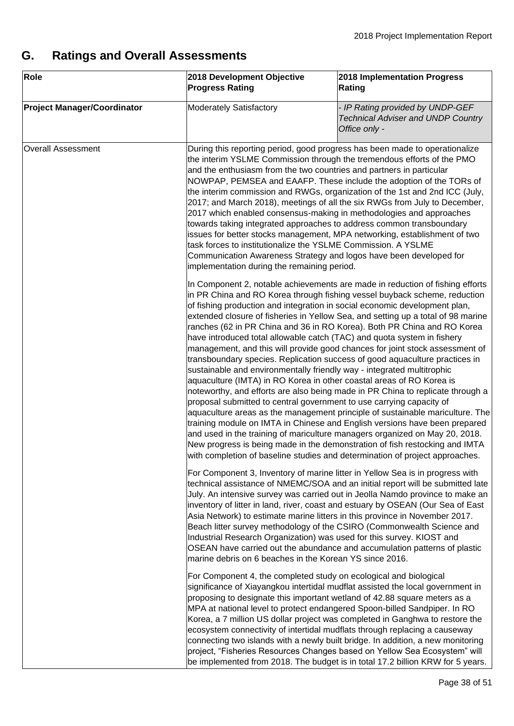# <span id="page-37-0"></span>**G. Ratings and Overall Assessments**

| Role                               | 2018 Development Objective<br><b>Progress Rating</b>                                                                                                                                                                                                                                                                                                                                                                                                                                                                                                                                                                                                                                                          | 2018 Implementation Progress<br>Rating                                                                                                                                                                                                                                                                                                                                                                                                                                                                                                                                                                                                                                                                                                                                                                                                                                                                                                                                                                                                                                |
|------------------------------------|---------------------------------------------------------------------------------------------------------------------------------------------------------------------------------------------------------------------------------------------------------------------------------------------------------------------------------------------------------------------------------------------------------------------------------------------------------------------------------------------------------------------------------------------------------------------------------------------------------------------------------------------------------------------------------------------------------------|-----------------------------------------------------------------------------------------------------------------------------------------------------------------------------------------------------------------------------------------------------------------------------------------------------------------------------------------------------------------------------------------------------------------------------------------------------------------------------------------------------------------------------------------------------------------------------------------------------------------------------------------------------------------------------------------------------------------------------------------------------------------------------------------------------------------------------------------------------------------------------------------------------------------------------------------------------------------------------------------------------------------------------------------------------------------------|
| <b>Project Manager/Coordinator</b> | <b>Moderately Satisfactory</b>                                                                                                                                                                                                                                                                                                                                                                                                                                                                                                                                                                                                                                                                                | - IP Rating provided by UNDP-GEF<br><b>Technical Adviser and UNDP Country</b><br>Office only -                                                                                                                                                                                                                                                                                                                                                                                                                                                                                                                                                                                                                                                                                                                                                                                                                                                                                                                                                                        |
| <b>Overall Assessment</b>          | and the enthusiasm from the two countries and partners in particular<br>task forces to institutionalize the YSLME Commission. A YSLME<br>Communication Awareness Strategy and logos have been developed for<br>implementation during the remaining period.                                                                                                                                                                                                                                                                                                                                                                                                                                                    | During this reporting period, good progress has been made to operationalize<br>the interim YSLME Commission through the tremendous efforts of the PMO<br>NOWPAP, PEMSEA and EAAFP. These include the adoption of the TORs of<br>the interim commission and RWGs, organization of the 1st and 2nd ICC (July,<br>2017; and March 2018), meetings of all the six RWGs from July to December,<br>2017 which enabled consensus-making in methodologies and approaches<br>towards taking integrated approaches to address common transboundary<br>issues for better stocks management, MPA networking, establishment of two                                                                                                                                                                                                                                                                                                                                                                                                                                                 |
|                                    | have introduced total allowable catch (TAC) and quota system in fishery<br>sustainable and environmentally friendly way - integrated multitrophic<br>aquaculture (IMTA) in RO Korea in other coastal areas of RO Korea is<br>proposal submitted to central government to use carrying capacity of                                                                                                                                                                                                                                                                                                                                                                                                             | In Component 2, notable achievements are made in reduction of fishing efforts<br>in PR China and RO Korea through fishing vessel buyback scheme, reduction<br>of fishing production and integration in social economic development plan,<br>extended closure of fisheries in Yellow Sea, and setting up a total of 98 marine<br>ranches (62 in PR China and 36 in RO Korea). Both PR China and RO Korea<br>management, and this will provide good chances for joint stock assessment of<br>transboundary species. Replication success of good aquaculture practices in<br>noteworthy, and efforts are also being made in PR China to replicate through a<br>aquaculture areas as the management principle of sustainable mariculture. The<br>training module on IMTA in Chinese and English versions have been prepared<br>and used in the training of mariculture managers organized on May 20, 2018.<br>New progress is being made in the demonstration of fish restocking and IMTA<br>with completion of baseline studies and determination of project approaches. |
|                                    | For Component 3, Inventory of marine litter in Yellow Sea is in progress with<br>technical assistance of NMEMC/SOA and an initial report will be submitted late<br>July. An intensive survey was carried out in Jeolla Namdo province to make an<br>inventory of litter in land, river, coast and estuary by OSEAN (Our Sea of East<br>Asia Network) to estimate marine litters in this province in November 2017.<br>Beach litter survey methodology of the CSIRO (Commonwealth Science and<br>Industrial Research Organization) was used for this survey. KIOST and<br>OSEAN have carried out the abundance and accumulation patterns of plastic<br>marine debris on 6 beaches in the Korean YS since 2016. |                                                                                                                                                                                                                                                                                                                                                                                                                                                                                                                                                                                                                                                                                                                                                                                                                                                                                                                                                                                                                                                                       |
|                                    | For Component 4, the completed study on ecological and biological                                                                                                                                                                                                                                                                                                                                                                                                                                                                                                                                                                                                                                             | significance of Xiayangkou intertidal mudflat assisted the local government in<br>proposing to designate this important wetland of 42.88 square meters as a<br>MPA at national level to protect endangered Spoon-billed Sandpiper. In RO<br>Korea, a 7 million US dollar project was completed in Ganghwa to restore the<br>ecosystem connectivity of intertidal mudflats through replacing a causeway<br>connecting two islands with a newly built bridge. In addition, a new monitoring<br>project, "Fisheries Resources Changes based on Yellow Sea Ecosystem" will<br>be implemented from 2018. The budget is in total 17.2 billion KRW for 5 years.                                                                                                                                                                                                                                                                                                                                                                                                              |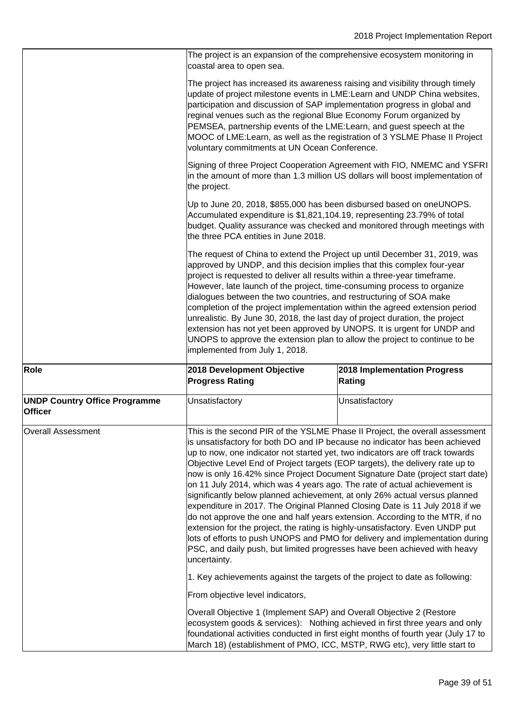|                                                        | The project is an expansion of the comprehensive ecosystem monitoring in<br>coastal area to open sea.                                                                                                                                                                                                                                                                                                                                                                                                                                                                                                                                                                                                                                                                                                                                                                                                                                                                                                    |                                        |  |
|--------------------------------------------------------|----------------------------------------------------------------------------------------------------------------------------------------------------------------------------------------------------------------------------------------------------------------------------------------------------------------------------------------------------------------------------------------------------------------------------------------------------------------------------------------------------------------------------------------------------------------------------------------------------------------------------------------------------------------------------------------------------------------------------------------------------------------------------------------------------------------------------------------------------------------------------------------------------------------------------------------------------------------------------------------------------------|----------------------------------------|--|
|                                                        | The project has increased its awareness raising and visibility through timely<br>update of project milestone events in LME: Learn and UNDP China websites,<br>participation and discussion of SAP implementation progress in global and<br>reginal venues such as the regional Blue Economy Forum organized by<br>PEMSEA, partnership events of the LME: Learn, and guest speech at the<br>MOOC of LME: Learn, as well as the registration of 3 YSLME Phase II Project<br>voluntary commitments at UN Ocean Conference.                                                                                                                                                                                                                                                                                                                                                                                                                                                                                  |                                        |  |
|                                                        | Signing of three Project Cooperation Agreement with FIO, NMEMC and YSFRI<br>in the amount of more than 1.3 million US dollars will boost implementation of<br>the project.                                                                                                                                                                                                                                                                                                                                                                                                                                                                                                                                                                                                                                                                                                                                                                                                                               |                                        |  |
|                                                        | Up to June 20, 2018, \$855,000 has been disbursed based on oneUNOPS.<br>Accumulated expenditure is \$1,821,104.19, representing 23.79% of total<br>budget. Quality assurance was checked and monitored through meetings with<br>the three PCA entities in June 2018.                                                                                                                                                                                                                                                                                                                                                                                                                                                                                                                                                                                                                                                                                                                                     |                                        |  |
|                                                        | The request of China to extend the Project up until December 31, 2019, was<br>approved by UNDP, and this decision implies that this complex four-year<br>project is requested to deliver all results within a three-year timeframe.<br>However, late launch of the project, time-consuming process to organize<br>dialogues between the two countries, and restructuring of SOA make<br>completion of the project implementation within the agreed extension period<br>unrealistic. By June 30, 2018, the last day of project duration, the project<br>extension has not yet been approved by UNOPS. It is urgent for UNDP and<br>UNOPS to approve the extension plan to allow the project to continue to be<br>implemented from July 1, 2018.                                                                                                                                                                                                                                                           |                                        |  |
| Role                                                   | 2018 Development Objective<br><b>Progress Rating</b>                                                                                                                                                                                                                                                                                                                                                                                                                                                                                                                                                                                                                                                                                                                                                                                                                                                                                                                                                     | 2018 Implementation Progress<br>Rating |  |
| <b>UNDP Country Office Programme</b><br><b>Officer</b> | Unsatisfactory                                                                                                                                                                                                                                                                                                                                                                                                                                                                                                                                                                                                                                                                                                                                                                                                                                                                                                                                                                                           | Unsatisfactory                         |  |
| <b>Overall Assessment</b>                              | This is the second PIR of the YSLME Phase II Project, the overall assessment<br>is unsatisfactory for both DO and IP because no indicator has been achieved<br>up to now, one indicator not started yet, two indicators are off track towards<br>Objective Level End of Project targets (EOP targets), the delivery rate up to<br>now is only 16.42% since Project Document Signature Date (project start date)<br>on 11 July 2014, which was 4 years ago. The rate of actual achievement is<br>significantly below planned achievement, at only 26% actual versus planned<br>expenditure in 2017. The Original Planned Closing Date is 11 July 2018 if we<br>do not approve the one and half years extension. According to the MTR, if no<br>extension for the project, the rating is highly-unsatisfactory. Even UNDP put<br>lots of efforts to push UNOPS and PMO for delivery and implementation during<br>PSC, and daily push, but limited progresses have been achieved with heavy<br>uncertainty. |                                        |  |
|                                                        | 1. Key achievements against the targets of the project to date as following:                                                                                                                                                                                                                                                                                                                                                                                                                                                                                                                                                                                                                                                                                                                                                                                                                                                                                                                             |                                        |  |
|                                                        | From objective level indicators,                                                                                                                                                                                                                                                                                                                                                                                                                                                                                                                                                                                                                                                                                                                                                                                                                                                                                                                                                                         |                                        |  |
|                                                        | Overall Objective 1 (Implement SAP) and Overall Objective 2 (Restore<br>ecosystem goods & services): Nothing achieved in first three years and only<br>foundational activities conducted in first eight months of fourth year (July 17 to<br>March 18) (establishment of PMO, ICC, MSTP, RWG etc), very little start to                                                                                                                                                                                                                                                                                                                                                                                                                                                                                                                                                                                                                                                                                  |                                        |  |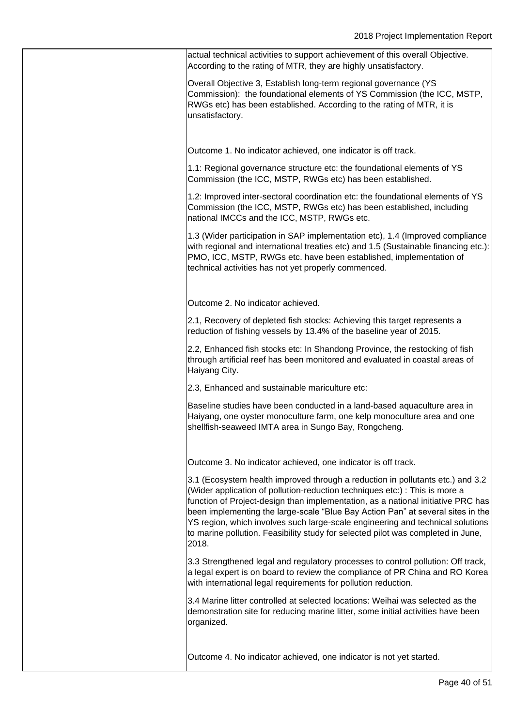actual technical activities to support achievement of this overall Objective. According to the rating of MTR, they are highly unsatisfactory.

Overall Objective 3, Establish long-term regional governance (YS Commission): the foundational elements of YS Commission (the ICC, MSTP, RWGs etc) has been established. According to the rating of MTR, it is unsatisfactory.

Outcome 1. No indicator achieved, one indicator is off track.

1.1: Regional governance structure etc: the foundational elements of YS Commission (the ICC, MSTP, RWGs etc) has been established.

1.2: Improved inter-sectoral coordination etc: the foundational elements of YS Commission (the ICC, MSTP, RWGs etc) has been established, including national IMCCs and the ICC, MSTP, RWGs etc.

1.3 (Wider participation in SAP implementation etc), 1.4 (Improved compliance with regional and international treaties etc) and 1.5 (Sustainable financing etc.): PMO, ICC, MSTP, RWGs etc. have been established, implementation of technical activities has not yet properly commenced.

Outcome 2. No indicator achieved.

2.1, Recovery of depleted fish stocks: Achieving this target represents a reduction of fishing vessels by 13.4% of the baseline year of 2015.

2.2, Enhanced fish stocks etc: In Shandong Province, the restocking of fish through artificial reef has been monitored and evaluated in coastal areas of Haiyang City.

2.3, Enhanced and sustainable mariculture etc:

Baseline studies have been conducted in a land-based aquaculture area in Haiyang, one oyster monoculture farm, one kelp monoculture area and one shellfish-seaweed IMTA area in Sungo Bay, Rongcheng.

Outcome 3. No indicator achieved, one indicator is off track.

3.1 (Ecosystem health improved through a reduction in pollutants etc.) and 3.2 (Wider application of pollution-reduction techniques etc:) : This is more a function of Project-design than implementation, as a national initiative PRC has been implementing the large-scale "Blue Bay Action Pan" at several sites in the YS region, which involves such large-scale engineering and technical solutions to marine pollution. Feasibility study for selected pilot was completed in June, 2018.

3.3 Strengthened legal and regulatory processes to control pollution: Off track, a legal expert is on board to review the compliance of PR China and RO Korea with international legal requirements for pollution reduction.

3.4 Marine litter controlled at selected locations: Weihai was selected as the demonstration site for reducing marine litter, some initial activities have been organized.

Outcome 4. No indicator achieved, one indicator is not yet started.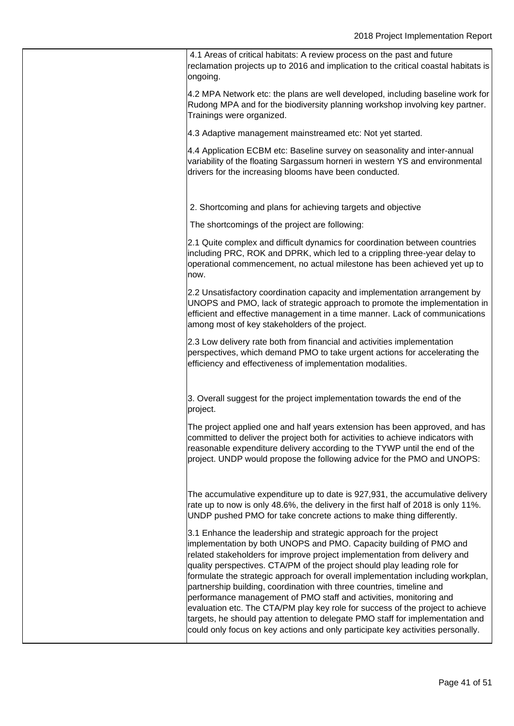4.1 Areas of critical habitats: A review process on the past and future reclamation projects up to 2016 and implication to the critical coastal habitats is ongoing.

4.2 MPA Network etc: the plans are well developed, including baseline work for Rudong MPA and for the biodiversity planning workshop involving key partner. Trainings were organized.

4.3 Adaptive management mainstreamed etc: Not yet started.

4.4 Application ECBM etc: Baseline survey on seasonality and inter-annual variability of the floating Sargassum horneri in western YS and environmental drivers for the increasing blooms have been conducted.

2. Shortcoming and plans for achieving targets and objective

The shortcomings of the project are following:

2.1 Quite complex and difficult dynamics for coordination between countries including PRC, ROK and DPRK, which led to a crippling three-year delay to operational commencement, no actual milestone has been achieved yet up to now.

2.2 Unsatisfactory coordination capacity and implementation arrangement by UNOPS and PMO, lack of strategic approach to promote the implementation in efficient and effective management in a time manner. Lack of communications among most of key stakeholders of the project.

2.3 Low delivery rate both from financial and activities implementation perspectives, which demand PMO to take urgent actions for accelerating the efficiency and effectiveness of implementation modalities.

3. Overall suggest for the project implementation towards the end of the project.

The project applied one and half years extension has been approved, and has committed to deliver the project both for activities to achieve indicators with reasonable expenditure delivery according to the TYWP until the end of the project. UNDP would propose the following advice for the PMO and UNOPS:

The accumulative expenditure up to date is 927,931, the accumulative delivery rate up to now is only 48.6%, the delivery in the first half of 2018 is only 11%. UNDP pushed PMO for take concrete actions to make thing differently.

3.1 Enhance the leadership and strategic approach for the project implementation by both UNOPS and PMO. Capacity building of PMO and related stakeholders for improve project implementation from delivery and quality perspectives. CTA/PM of the project should play leading role for formulate the strategic approach for overall implementation including workplan, partnership building, coordination with three countries, timeline and performance management of PMO staff and activities, monitoring and evaluation etc. The CTA/PM play key role for success of the project to achieve targets, he should pay attention to delegate PMO staff for implementation and could only focus on key actions and only participate key activities personally.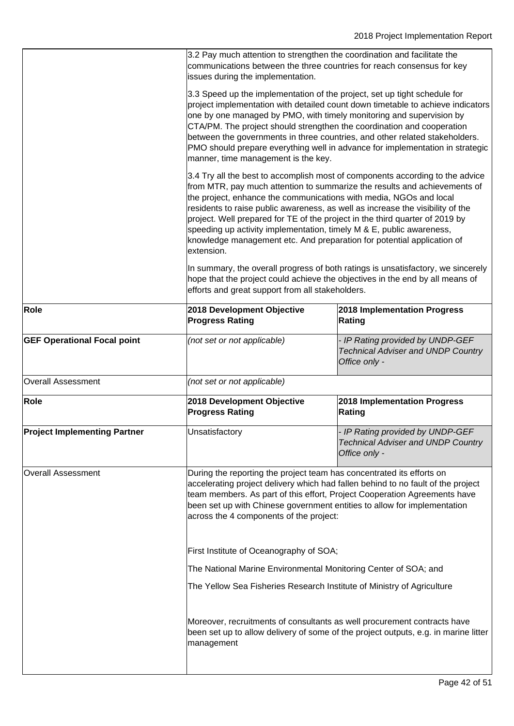|                                     | 3.2 Pay much attention to strengthen the coordination and facilitate the<br>communications between the three countries for reach consensus for key<br>issues during the implementation.                                                                                                                                                                                                                                                                                                                                                                                                                                                                                                                                                                                                     |                                                                                                |  |
|-------------------------------------|---------------------------------------------------------------------------------------------------------------------------------------------------------------------------------------------------------------------------------------------------------------------------------------------------------------------------------------------------------------------------------------------------------------------------------------------------------------------------------------------------------------------------------------------------------------------------------------------------------------------------------------------------------------------------------------------------------------------------------------------------------------------------------------------|------------------------------------------------------------------------------------------------|--|
|                                     | 3.3 Speed up the implementation of the project, set up tight schedule for<br>project implementation with detailed count down timetable to achieve indicators<br>one by one managed by PMO, with timely monitoring and supervision by<br>CTA/PM. The project should strengthen the coordination and cooperation<br>between the governments in three countries, and other related stakeholders.<br>PMO should prepare everything well in advance for implementation in strategic<br>manner, time management is the key.                                                                                                                                                                                                                                                                       |                                                                                                |  |
|                                     | 3.4 Try all the best to accomplish most of components according to the advice<br>from MTR, pay much attention to summarize the results and achievements of<br>the project, enhance the communications with media, NGOs and local<br>residents to raise public awareness, as well as increase the visibility of the<br>project. Well prepared for TE of the project in the third quarter of 2019 by<br>speeding up activity implementation, timely M & E, public awareness,<br>knowledge management etc. And preparation for potential application of<br>extension.<br>In summary, the overall progress of both ratings is unsatisfactory, we sincerely<br>hope that the project could achieve the objectives in the end by all means of<br>efforts and great support from all stakeholders. |                                                                                                |  |
|                                     |                                                                                                                                                                                                                                                                                                                                                                                                                                                                                                                                                                                                                                                                                                                                                                                             |                                                                                                |  |
| Role                                | 2018 Development Objective<br><b>Progress Rating</b>                                                                                                                                                                                                                                                                                                                                                                                                                                                                                                                                                                                                                                                                                                                                        | 2018 Implementation Progress<br>Rating                                                         |  |
| <b>GEF Operational Focal point</b>  | (not set or not applicable)                                                                                                                                                                                                                                                                                                                                                                                                                                                                                                                                                                                                                                                                                                                                                                 | - IP Rating provided by UNDP-GEF<br><b>Technical Adviser and UNDP Country</b><br>Office only - |  |
| <b>Overall Assessment</b>           | (not set or not applicable)                                                                                                                                                                                                                                                                                                                                                                                                                                                                                                                                                                                                                                                                                                                                                                 |                                                                                                |  |
| <b>Role</b>                         | 2018 Development Objective<br><b>Progress Rating</b>                                                                                                                                                                                                                                                                                                                                                                                                                                                                                                                                                                                                                                                                                                                                        | 2018 Implementation Progress<br>Rating                                                         |  |
| <b>Project Implementing Partner</b> | Unsatisfactory                                                                                                                                                                                                                                                                                                                                                                                                                                                                                                                                                                                                                                                                                                                                                                              | - IP Rating provided by UNDP-GEF<br><b>Technical Adviser and UNDP Country</b><br>Office only - |  |
| <b>Overall Assessment</b>           | During the reporting the project team has concentrated its efforts on<br>accelerating project delivery which had fallen behind to no fault of the project<br>team members. As part of this effort, Project Cooperation Agreements have<br>been set up with Chinese government entities to allow for implementation<br>across the 4 components of the project:                                                                                                                                                                                                                                                                                                                                                                                                                               |                                                                                                |  |
|                                     | First Institute of Oceanography of SOA;                                                                                                                                                                                                                                                                                                                                                                                                                                                                                                                                                                                                                                                                                                                                                     |                                                                                                |  |
|                                     | The National Marine Environmental Monitoring Center of SOA; and                                                                                                                                                                                                                                                                                                                                                                                                                                                                                                                                                                                                                                                                                                                             |                                                                                                |  |
|                                     | The Yellow Sea Fisheries Research Institute of Ministry of Agriculture                                                                                                                                                                                                                                                                                                                                                                                                                                                                                                                                                                                                                                                                                                                      |                                                                                                |  |
|                                     | Moreover, recruitments of consultants as well procurement contracts have<br>been set up to allow delivery of some of the project outputs, e.g. in marine litter<br>management                                                                                                                                                                                                                                                                                                                                                                                                                                                                                                                                                                                                               |                                                                                                |  |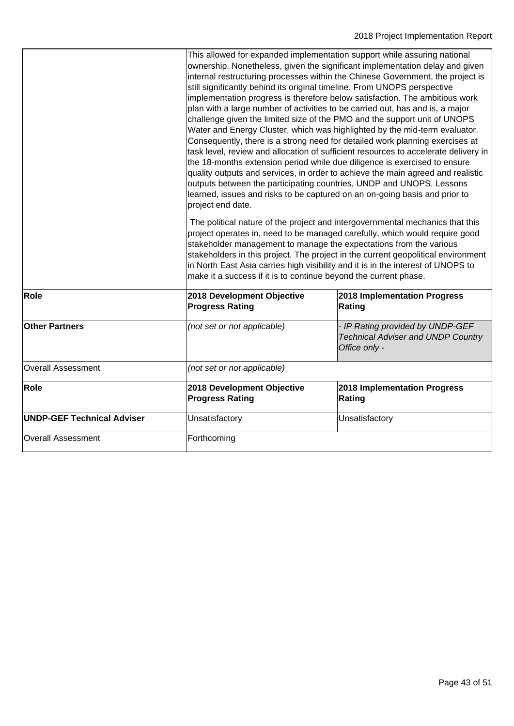|                                   | This allowed for expanded implementation support while assuring national<br>ownership. Nonetheless, given the significant implementation delay and given<br>internal restructuring processes within the Chinese Government, the project is<br>still significantly behind its original timeline. From UNOPS perspective<br>implementation progress is therefore below satisfaction. The ambitious work<br>plan with a large number of activities to be carried out, has and is, a major<br>challenge given the limited size of the PMO and the support unit of UNOPS<br>Water and Energy Cluster, which was highlighted by the mid-term evaluator.<br>Consequently, there is a strong need for detailed work planning exercises at<br>task level, review and allocation of sufficient resources to accelerate delivery in<br>the 18-months extension period while due diligence is exercised to ensure<br>quality outputs and services, in order to achieve the main agreed and realistic<br>outputs between the participating countries, UNDP and UNOPS. Lessons<br>learned, issues and risks to be captured on an on-going basis and prior to<br>project end date. |                                                                                                |  |
|-----------------------------------|---------------------------------------------------------------------------------------------------------------------------------------------------------------------------------------------------------------------------------------------------------------------------------------------------------------------------------------------------------------------------------------------------------------------------------------------------------------------------------------------------------------------------------------------------------------------------------------------------------------------------------------------------------------------------------------------------------------------------------------------------------------------------------------------------------------------------------------------------------------------------------------------------------------------------------------------------------------------------------------------------------------------------------------------------------------------------------------------------------------------------------------------------------------------|------------------------------------------------------------------------------------------------|--|
|                                   | The political nature of the project and intergovernmental mechanics that this<br>project operates in, need to be managed carefully, which would require good<br>stakeholder management to manage the expectations from the various<br>stakeholders in this project. The project in the current geopolitical environment<br>in North East Asia carries high visibility and it is in the interest of UNOPS to<br>make it a success if it is to continue beyond the current phase.                                                                                                                                                                                                                                                                                                                                                                                                                                                                                                                                                                                                                                                                                     |                                                                                                |  |
| Role                              | 2018 Development Objective<br><b>Progress Rating</b>                                                                                                                                                                                                                                                                                                                                                                                                                                                                                                                                                                                                                                                                                                                                                                                                                                                                                                                                                                                                                                                                                                                | 2018 Implementation Progress<br>Rating                                                         |  |
| <b>Other Partners</b>             | (not set or not applicable)                                                                                                                                                                                                                                                                                                                                                                                                                                                                                                                                                                                                                                                                                                                                                                                                                                                                                                                                                                                                                                                                                                                                         | - IP Rating provided by UNDP-GEF<br><b>Technical Adviser and UNDP Country</b><br>Office only - |  |
| <b>Overall Assessment</b>         | (not set or not applicable)                                                                                                                                                                                                                                                                                                                                                                                                                                                                                                                                                                                                                                                                                                                                                                                                                                                                                                                                                                                                                                                                                                                                         |                                                                                                |  |
| Role                              | 2018 Development Objective<br><b>Progress Rating</b>                                                                                                                                                                                                                                                                                                                                                                                                                                                                                                                                                                                                                                                                                                                                                                                                                                                                                                                                                                                                                                                                                                                | 2018 Implementation Progress<br>Rating                                                         |  |
| <b>UNDP-GEF Technical Adviser</b> | Unsatisfactory                                                                                                                                                                                                                                                                                                                                                                                                                                                                                                                                                                                                                                                                                                                                                                                                                                                                                                                                                                                                                                                                                                                                                      | Unsatisfactory                                                                                 |  |
| <b>Overall Assessment</b>         | Forthcoming                                                                                                                                                                                                                                                                                                                                                                                                                                                                                                                                                                                                                                                                                                                                                                                                                                                                                                                                                                                                                                                                                                                                                         |                                                                                                |  |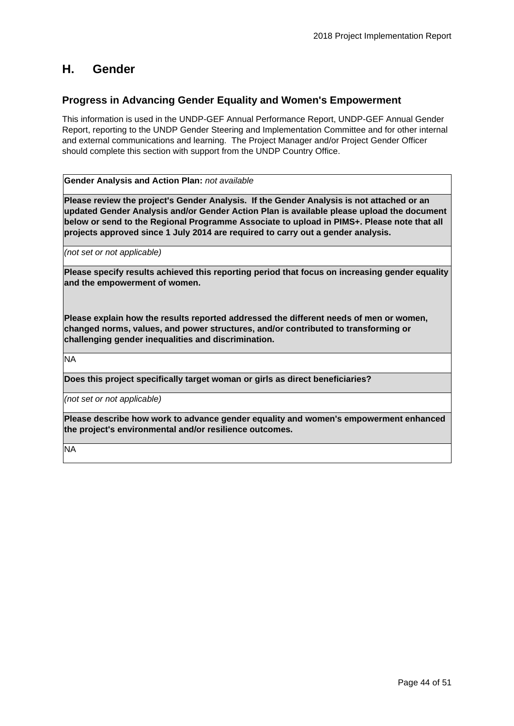## <span id="page-43-0"></span>**H. Gender**

## **Progress in Advancing Gender Equality and Women's Empowerment**

This information is used in the UNDP-GEF Annual Performance Report, UNDP-GEF Annual Gender Report, reporting to the UNDP Gender Steering and Implementation Committee and for other internal and external communications and learning. The Project Manager and/or Project Gender Officer should complete this section with support from the UNDP Country Office.

**Gender Analysis and Action Plan:** *not available*

**Please review the project's Gender Analysis. If the Gender Analysis is not attached or an updated Gender Analysis and/or Gender Action Plan is available please upload the document below or send to the Regional Programme Associate to upload in PIMS+. Please note that all projects approved since 1 July 2014 are required to carry out a gender analysis.**

*(not set or not applicable)*

**Please specify results achieved this reporting period that focus on increasing gender equality and the empowerment of women.** 

**Please explain how the results reported addressed the different needs of men or women, changed norms, values, and power structures, and/or contributed to transforming or challenging gender inequalities and discrimination.** 

**NA** 

**Does this project specifically target woman or girls as direct beneficiaries?**

*(not set or not applicable)*

**Please describe how work to advance gender equality and women's empowerment enhanced the project's environmental and/or resilience outcomes.**

**NA**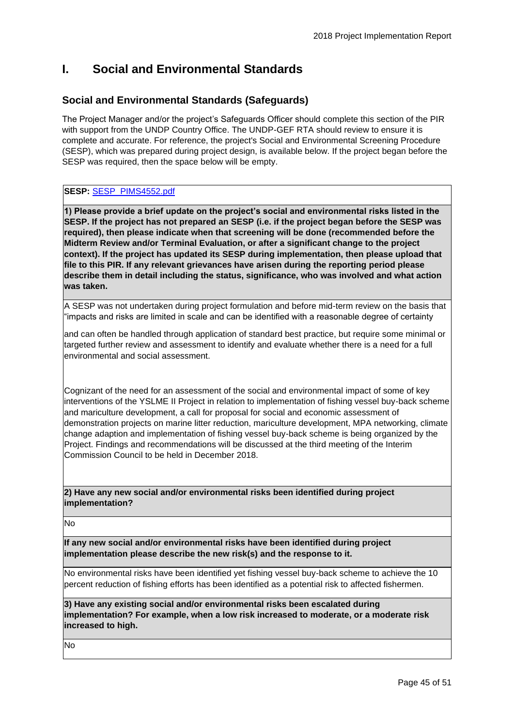# <span id="page-44-0"></span>**I. Social and Environmental Standards**

## **Social and Environmental Standards (Safeguards)**

The Project Manager and/or the project's Safeguards Officer should complete this section of the PIR with support from the UNDP Country Office. The UNDP-GEF RTA should review to ensure it is complete and accurate. For reference, the project's Social and Environmental Screening Procedure (SESP), which was prepared during project design, is available below. If the project began before the SESP was required, then the space below will be empty.

## **SESP:** [SESP\\_PIMS4552.pdf](https://undpgefpims.org/attachments/4552/213370/1717100/1723274/SESP_PIMS4552.pdf)

**1) Please provide a brief update on the project's social and environmental risks listed in the SESP. If the project has not prepared an SESP (i.e. if the project began before the SESP was required), then please indicate when that screening will be done (recommended before the Midterm Review and/or Terminal Evaluation, or after a significant change to the project context). If the project has updated its SESP during implementation, then please upload that file to this PIR. If any relevant grievances have arisen during the reporting period please describe them in detail including the status, significance, who was involved and what action was taken.**

A SESP was not undertaken during project formulation and before mid-term review on the basis that "impacts and risks are limited in scale and can be identified with a reasonable degree of certainty

and can often be handled through application of standard best practice, but require some minimal or targeted further review and assessment to identify and evaluate whether there is a need for a full environmental and social assessment.

Cognizant of the need for an assessment of the social and environmental impact of some of key interventions of the YSLME II Project in relation to implementation of fishing vessel buy-back scheme and mariculture development, a call for proposal for social and economic assessment of demonstration projects on marine litter reduction, mariculture development, MPA networking, climate change adaption and implementation of fishing vessel buy-back scheme is being organized by the Project. Findings and recommendations will be discussed at the third meeting of the Interim Commission Council to be held in December 2018.

#### **2) Have any new social and/or environmental risks been identified during project implementation?**

No

**If any new social and/or environmental risks have been identified during project implementation please describe the new risk(s) and the response to it.** 

No environmental risks have been identified yet fishing vessel buy-back scheme to achieve the 10 percent reduction of fishing efforts has been identified as a potential risk to affected fishermen.

**3) Have any existing social and/or environmental risks been escalated during implementation? For example, when a low risk increased to moderate, or a moderate risk increased to high.**

No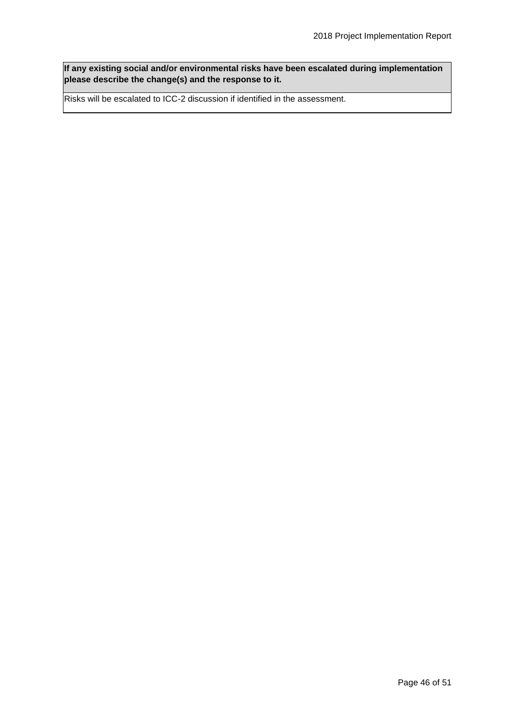**If any existing social and/or environmental risks have been escalated during implementation please describe the change(s) and the response to it.** 

Risks will be escalated to ICC-2 discussion if identified in the assessment.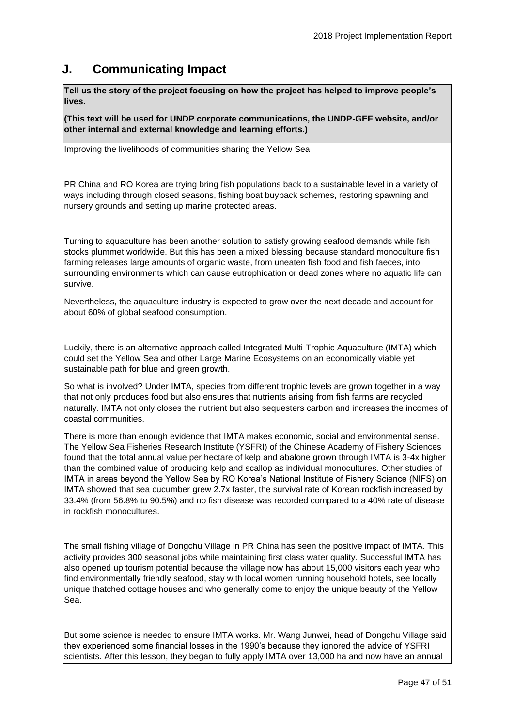## <span id="page-46-0"></span>**J. Communicating Impact**

**Tell us the story of the project focusing on how the project has helped to improve people's lives.** 

**(This text will be used for UNDP corporate communications, the UNDP-GEF website, and/or other internal and external knowledge and learning efforts.)**

Improving the livelihoods of communities sharing the Yellow Sea

PR China and RO Korea are trying bring fish populations back to a sustainable level in a variety of ways including through closed seasons, fishing boat buyback schemes, restoring spawning and nursery grounds and setting up marine protected areas.

Turning to aquaculture has been another solution to satisfy growing seafood demands while fish stocks plummet worldwide. But this has been a mixed blessing because standard monoculture fish farming releases large amounts of organic waste, from uneaten fish food and fish faeces, into surrounding environments which can cause eutrophication or dead zones where no aquatic life can survive.

Nevertheless, the aquaculture industry is expected to grow over the next decade and account for about 60% of global seafood consumption.

Luckily, there is an alternative approach called Integrated Multi-Trophic Aquaculture (IMTA) which could set the Yellow Sea and other Large Marine Ecosystems on an economically viable yet sustainable path for blue and green growth.

So what is involved? Under IMTA, species from different trophic levels are grown together in a way that not only produces food but also ensures that nutrients arising from fish farms are recycled naturally. IMTA not only closes the nutrient but also sequesters carbon and increases the incomes of coastal communities.

There is more than enough evidence that IMTA makes economic, social and environmental sense. The Yellow Sea Fisheries Research Institute (YSFRI) of the Chinese Academy of Fishery Sciences found that the total annual value per hectare of kelp and abalone grown through IMTA is 3-4x higher than the combined value of producing kelp and scallop as individual monocultures. Other studies of IMTA in areas beyond the Yellow Sea by RO Korea's National Institute of Fishery Science (NIFS) on IMTA showed that sea cucumber grew 2.7x faster, the survival rate of Korean rockfish increased by 33.4% (from 56.8% to 90.5%) and no fish disease was recorded compared to a 40% rate of disease in rockfish monocultures.

The small fishing village of Dongchu Village in PR China has seen the positive impact of IMTA. This activity provides 300 seasonal jobs while maintaining first class water quality. Successful IMTA has also opened up tourism potential because the village now has about 15,000 visitors each year who find environmentally friendly seafood, stay with local women running household hotels, see locally unique thatched cottage houses and who generally come to enjoy the unique beauty of the Yellow Sea.

But some science is needed to ensure IMTA works. Mr. Wang Junwei, head of Dongchu Village said they experienced some financial losses in the 1990's because they ignored the advice of YSFRI scientists. After this lesson, they began to fully apply IMTA over 13,000 ha and now have an annual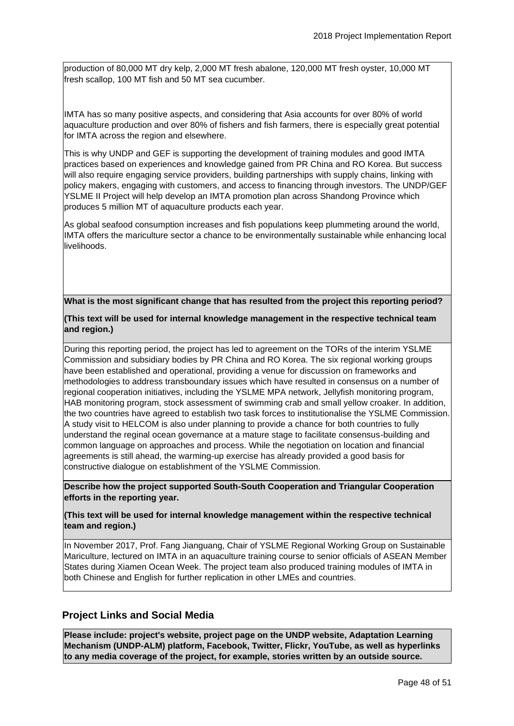production of 80,000 MT dry kelp, 2,000 MT fresh abalone, 120,000 MT fresh oyster, 10,000 MT fresh scallop, 100 MT fish and 50 MT sea cucumber.

IMTA has so many positive aspects, and considering that Asia accounts for over 80% of world aquaculture production and over 80% of fishers and fish farmers, there is especially great potential for IMTA across the region and elsewhere.

This is why UNDP and GEF is supporting the development of training modules and good IMTA practices based on experiences and knowledge gained from PR China and RO Korea. But success will also require engaging service providers, building partnerships with supply chains, linking with policy makers, engaging with customers, and access to financing through investors. The UNDP/GEF YSLME II Project will help develop an IMTA promotion plan across Shandong Province which produces 5 million MT of aquaculture products each year.

As global seafood consumption increases and fish populations keep plummeting around the world, IMTA offers the mariculture sector a chance to be environmentally sustainable while enhancing local livelihoods.

#### **What is the most significant change that has resulted from the project this reporting period?**

#### **(This text will be used for internal knowledge management in the respective technical team and region.)**

During this reporting period, the project has led to agreement on the TORs of the interim YSLME Commission and subsidiary bodies by PR China and RO Korea. The six regional working groups have been established and operational, providing a venue for discussion on frameworks and methodologies to address transboundary issues which have resulted in consensus on a number of regional cooperation initiatives, including the YSLME MPA network, Jellyfish monitoring program, HAB monitoring program, stock assessment of swimming crab and small yellow croaker. In addition, the two countries have agreed to establish two task forces to institutionalise the YSLME Commission. A study visit to HELCOM is also under planning to provide a chance for both countries to fully understand the reginal ocean governance at a mature stage to facilitate consensus-building and common language on approaches and process. While the negotiation on location and financial agreements is still ahead, the warming-up exercise has already provided a good basis for constructive dialogue on establishment of the YSLME Commission.

**Describe how the project supported South-South Cooperation and Triangular Cooperation efforts in the reporting year.** 

#### **(This text will be used for internal knowledge management within the respective technical team and region.)**

In November 2017, Prof. Fang Jianguang, Chair of YSLME Regional Working Group on Sustainable Mariculture, lectured on IMTA in an aquaculture training course to senior officials of ASEAN Member States during Xiamen Ocean Week. The project team also produced training modules of IMTA in both Chinese and English for further replication in other LMEs and countries.

## **Project Links and Social Media**

**Please include: project's website, project page on the UNDP website, Adaptation Learning Mechanism (UNDP-ALM) platform, Facebook, Twitter, Flickr, YouTube, as well as hyperlinks to any media coverage of the project, for example, stories written by an outside source.**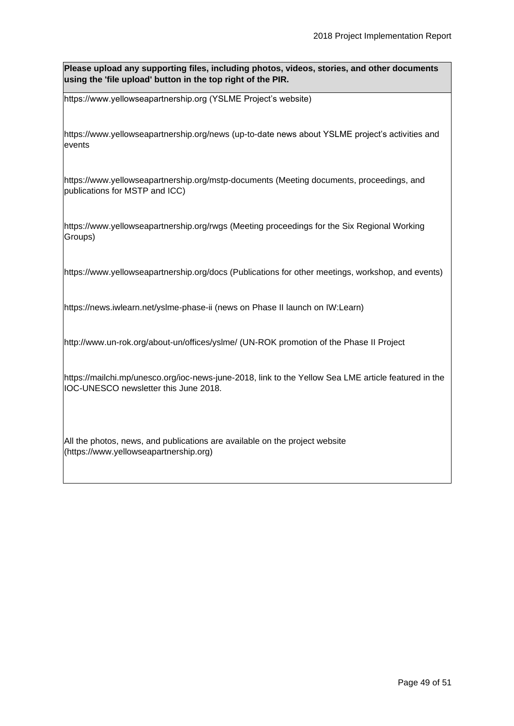**Please upload any supporting files, including photos, videos, stories, and other documents using the 'file upload' button in the top right of the PIR.**

https://www.yellowseapartnership.org (YSLME Project's website)

https://www.yellowseapartnership.org/news (up-to-date news about YSLME project's activities and events

https://www.yellowseapartnership.org/mstp-documents (Meeting documents, proceedings, and publications for MSTP and ICC)

https://www.yellowseapartnership.org/rwgs (Meeting proceedings for the Six Regional Working Groups)

https://www.yellowseapartnership.org/docs (Publications for other meetings, workshop, and events)

https://news.iwlearn.net/yslme-phase-ii (news on Phase II launch on IW:Learn)

http://www.un-rok.org/about-un/offices/yslme/ (UN-ROK promotion of the Phase II Project

https://mailchi.mp/unesco.org/ioc-news-june-2018, link to the Yellow Sea LME article featured in the IOC-UNESCO newsletter this June 2018.

All the photos, news, and publications are available on the project website (https://www.yellowseapartnership.org)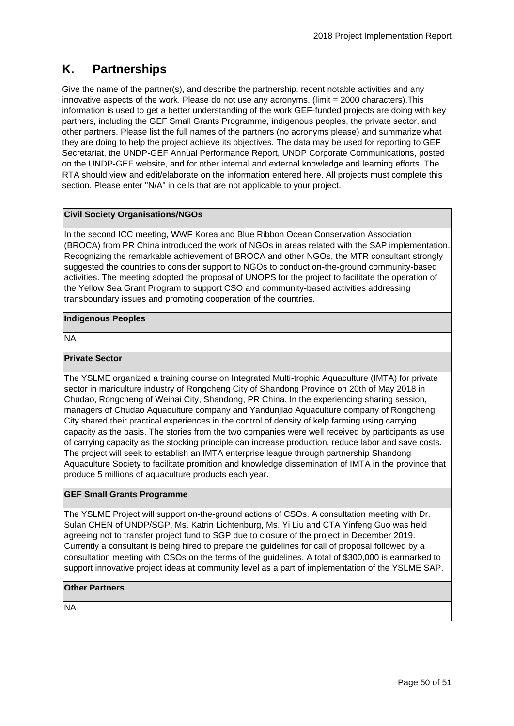# <span id="page-49-0"></span>**K. Partnerships**

Give the name of the partner(s), and describe the partnership, recent notable activities and any innovative aspects of the work. Please do not use any acronyms. (limit = 2000 characters).This information is used to get a better understanding of the work GEF-funded projects are doing with key partners, including the GEF Small Grants Programme, indigenous peoples, the private sector, and other partners. Please list the full names of the partners (no acronyms please) and summarize what they are doing to help the project achieve its objectives. The data may be used for reporting to GEF Secretariat, the UNDP-GEF Annual Performance Report, UNDP Corporate Communications, posted on the UNDP-GEF website, and for other internal and external knowledge and learning efforts. The RTA should view and edit/elaborate on the information entered here. All projects must complete this section. Please enter "N/A" in cells that are not applicable to your project.

#### **Civil Society Organisations/NGOs**

In the second ICC meeting, WWF Korea and Blue Ribbon Ocean Conservation Association (BROCA) from PR China introduced the work of NGOs in areas related with the SAP implementation. Recognizing the remarkable achievement of BROCA and other NGOs, the MTR consultant strongly suggested the countries to consider support to NGOs to conduct on-the-ground community-based activities. The meeting adopted the proposal of UNOPS for the project to facilitate the operation of the Yellow Sea Grant Program to support CSO and community-based activities addressing transboundary issues and promoting cooperation of the countries.

#### **Indigenous Peoples**

NA

### **Private Sector**

The YSLME organized a training course on Integrated Multi-trophic Aquaculture (IMTA) for private sector in mariculture industry of Rongcheng City of Shandong Province on 20th of May 2018 in Chudao, Rongcheng of Weihai City, Shandong, PR China. In the experiencing sharing session, managers of Chudao Aquaculture company and Yandunjiao Aquaculture company of Rongcheng City shared their practical experiences in the control of density of kelp farming using carrying capacity as the basis. The stories from the two companies were well received by participants as use of carrying capacity as the stocking principle can increase production, reduce labor and save costs. The project will seek to establish an IMTA enterprise league through partnership Shandong Aquaculture Society to facilitate promition and knowledge dissemination of IMTA in the province that produce 5 millions of aquaculture products each year.

## **GEF Small Grants Programme**

The YSLME Project will support on-the-ground actions of CSOs. A consultation meeting with Dr. Sulan CHEN of UNDP/SGP, Ms. Katrin Lichtenburg, Ms. Yi Liu and CTA Yinfeng Guo was held agreeing not to transfer project fund to SGP due to closure of the project in December 2019. Currently a consultant is being hired to prepare the guidelines for call of proposal followed by a consultation meeting with CSOs on the terms of the guidelines. A total of \$300,000 is earmarked to support innovative project ideas at community level as a part of implementation of the YSLME SAP.

#### **Other Partners**

NA